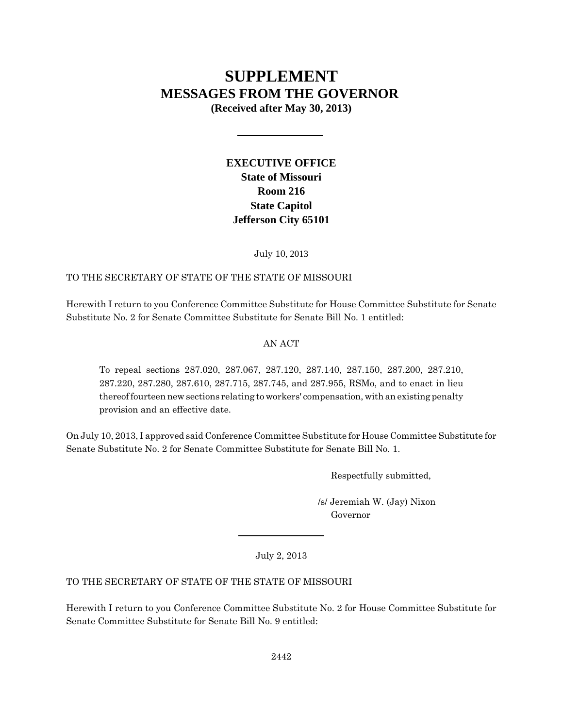# **SUPPLEMENT MESSAGES FROM THE GOVERNOR**

**(Received after May 30, 2013)**

# **EXECUTIVE OFFICE State of Missouri Room 216 State Capitol Jefferson City 65101**

July 10, 2013

# TO THE SECRETARY OF STATE OF THE STATE OF MISSOURI

Herewith I return to you Conference Committee Substitute for House Committee Substitute for Senate Substitute No. 2 for Senate Committee Substitute for Senate Bill No. 1 entitled:

# AN ACT

To repeal sections 287.020, 287.067, 287.120, 287.140, 287.150, 287.200, 287.210, 287.220, 287.280, 287.610, 287.715, 287.745, and 287.955, RSMo, and to enact in lieu thereof fourteen new sections relating to workers' compensation, with an existing penalty provision and an effective date.

On July 10, 2013, I approved said Conference Committee Substitute for House Committee Substitute for Senate Substitute No. 2 for Senate Committee Substitute for Senate Bill No. 1.

Respectfully submitted,

 /s/ Jeremiah W. (Jay) Nixon Governor

July 2, 2013

# TO THE SECRETARY OF STATE OF THE STATE OF MISSOURI

Herewith I return to you Conference Committee Substitute No. 2 for House Committee Substitute for Senate Committee Substitute for Senate Bill No. 9 entitled: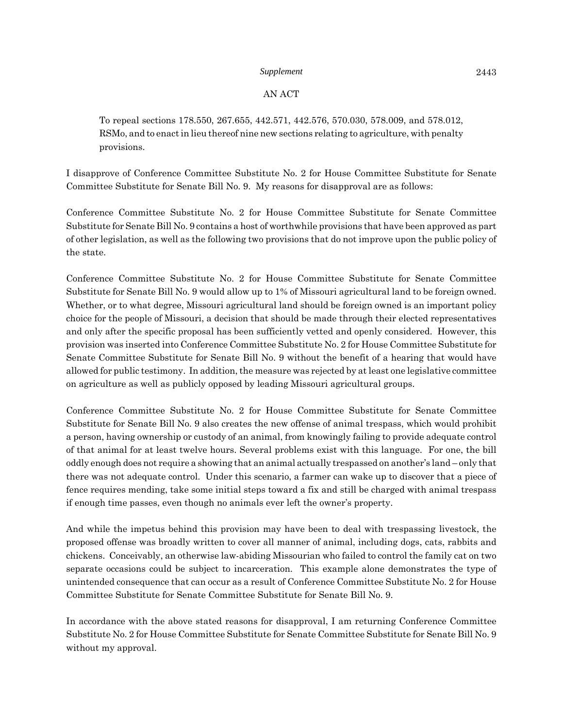#### AN ACT

To repeal sections 178.550, 267.655, 442.571, 442.576, 570.030, 578.009, and 578.012, RSMo, and to enact in lieu thereof nine new sections relating to agriculture, with penalty provisions.

I disapprove of Conference Committee Substitute No. 2 for House Committee Substitute for Senate Committee Substitute for Senate Bill No. 9. My reasons for disapproval are as follows:

Conference Committee Substitute No. 2 for House Committee Substitute for Senate Committee Substitute for Senate Bill No. 9 contains a host of worthwhile provisions that have been approved as part of other legislation, as well as the following two provisions that do not improve upon the public policy of the state.

Conference Committee Substitute No. 2 for House Committee Substitute for Senate Committee Substitute for Senate Bill No. 9 would allow up to 1% of Missouri agricultural land to be foreign owned. Whether, or to what degree, Missouri agricultural land should be foreign owned is an important policy choice for the people of Missouri, a decision that should be made through their elected representatives and only after the specific proposal has been sufficiently vetted and openly considered. However, this provision was inserted into Conference Committee Substitute No. 2 for House Committee Substitute for Senate Committee Substitute for Senate Bill No. 9 without the benefit of a hearing that would have allowed for public testimony. In addition, the measure was rejected by at least one legislative committee on agriculture as well as publicly opposed by leading Missouri agricultural groups.

Conference Committee Substitute No. 2 for House Committee Substitute for Senate Committee Substitute for Senate Bill No. 9 also creates the new offense of animal trespass, which would prohibit a person, having ownership or custody of an animal, from knowingly failing to provide adequate control of that animal for at least twelve hours. Several problems exist with this language. For one, the bill oddly enough does not require a showing that an animal actually trespassed on another's land – only that there was not adequate control. Under this scenario, a farmer can wake up to discover that a piece of fence requires mending, take some initial steps toward a fix and still be charged with animal trespass if enough time passes, even though no animals ever left the owner's property.

And while the impetus behind this provision may have been to deal with trespassing livestock, the proposed offense was broadly written to cover all manner of animal, including dogs, cats, rabbits and chickens. Conceivably, an otherwise law-abiding Missourian who failed to control the family cat on two separate occasions could be subject to incarceration. This example alone demonstrates the type of unintended consequence that can occur as a result of Conference Committee Substitute No. 2 for House Committee Substitute for Senate Committee Substitute for Senate Bill No. 9.

In accordance with the above stated reasons for disapproval, I am returning Conference Committee Substitute No. 2 for House Committee Substitute for Senate Committee Substitute for Senate Bill No. 9 without my approval.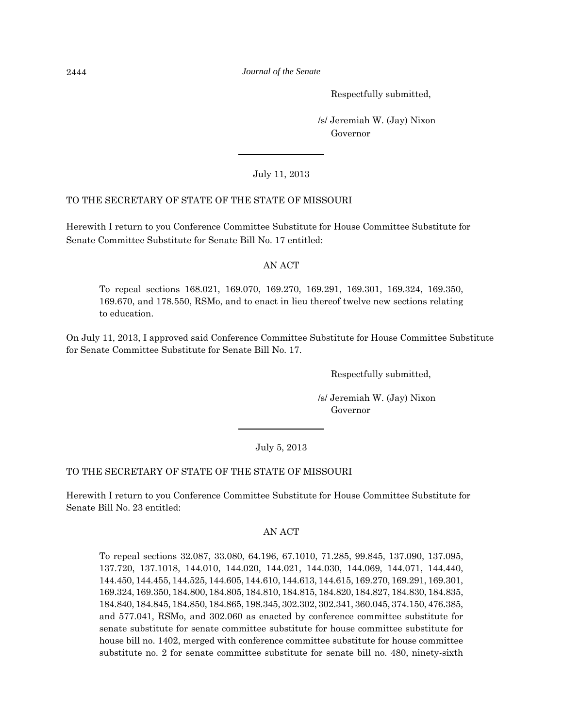Respectfully submitted,

 /s/ Jeremiah W. (Jay) Nixon Governor

July 11, 2013

# TO THE SECRETARY OF STATE OF THE STATE OF MISSOURI

Herewith I return to you Conference Committee Substitute for House Committee Substitute for Senate Committee Substitute for Senate Bill No. 17 entitled:

# AN ACT

To repeal sections 168.021, 169.070, 169.270, 169.291, 169.301, 169.324, 169.350, 169.670, and 178.550, RSMo, and to enact in lieu thereof twelve new sections relating to education.

On July 11, 2013, I approved said Conference Committee Substitute for House Committee Substitute for Senate Committee Substitute for Senate Bill No. 17.

Respectfully submitted,

 /s/ Jeremiah W. (Jay) Nixon Governor

# July 5, 2013

# TO THE SECRETARY OF STATE OF THE STATE OF MISSOURI

Herewith I return to you Conference Committee Substitute for House Committee Substitute for Senate Bill No. 23 entitled:

#### AN ACT

To repeal sections 32.087, 33.080, 64.196, 67.1010, 71.285, 99.845, 137.090, 137.095, 137.720, 137.1018, 144.010, 144.020, 144.021, 144.030, 144.069, 144.071, 144.440, 144.450, 144.455, 144.525, 144.605, 144.610, 144.613, 144.615, 169.270, 169.291, 169.301, 169.324, 169.350, 184.800, 184.805, 184.810, 184.815, 184.820, 184.827, 184.830, 184.835, 184.840, 184.845, 184.850, 184.865, 198.345, 302.302, 302.341, 360.045, 374.150, 476.385, and 577.041, RSMo, and 302.060 as enacted by conference committee substitute for senate substitute for senate committee substitute for house committee substitute for house bill no. 1402, merged with conference committee substitute for house committee substitute no. 2 for senate committee substitute for senate bill no. 480, ninety-sixth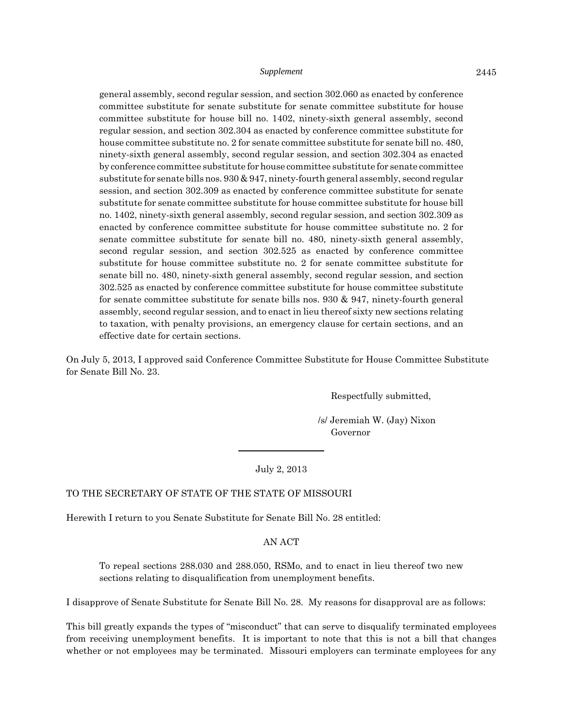general assembly, second regular session, and section 302.060 as enacted by conference committee substitute for senate substitute for senate committee substitute for house committee substitute for house bill no. 1402, ninety-sixth general assembly, second regular session, and section 302.304 as enacted by conference committee substitute for house committee substitute no. 2 for senate committee substitute for senate bill no. 480, ninety-sixth general assembly, second regular session, and section 302.304 as enacted by conference committee substitute for house committee substitute for senate committee substitute for senate bills nos. 930 & 947, ninety-fourth general assembly, second regular session, and section 302.309 as enacted by conference committee substitute for senate substitute for senate committee substitute for house committee substitute for house bill no. 1402, ninety-sixth general assembly, second regular session, and section 302.309 as enacted by conference committee substitute for house committee substitute no. 2 for senate committee substitute for senate bill no. 480, ninety-sixth general assembly, second regular session, and section 302.525 as enacted by conference committee substitute for house committee substitute no. 2 for senate committee substitute for senate bill no. 480, ninety-sixth general assembly, second regular session, and section 302.525 as enacted by conference committee substitute for house committee substitute for senate committee substitute for senate bills nos. 930 & 947, ninety-fourth general assembly, second regular session, and to enact in lieu thereof sixty new sections relating to taxation, with penalty provisions, an emergency clause for certain sections, and an effective date for certain sections.

On July 5, 2013, I approved said Conference Committee Substitute for House Committee Substitute for Senate Bill No. 23.

Respectfully submitted,

 /s/ Jeremiah W. (Jay) Nixon Governor

July 2, 2013

#### TO THE SECRETARY OF STATE OF THE STATE OF MISSOURI

Herewith I return to you Senate Substitute for Senate Bill No. 28 entitled:

AN ACT

To repeal sections 288.030 and 288.050, RSMo, and to enact in lieu thereof two new sections relating to disqualification from unemployment benefits.

I disapprove of Senate Substitute for Senate Bill No. 28. My reasons for disapproval are as follows:

This bill greatly expands the types of "misconduct" that can serve to disqualify terminated employees from receiving unemployment benefits. It is important to note that this is not a bill that changes whether or not employees may be terminated. Missouri employers can terminate employees for any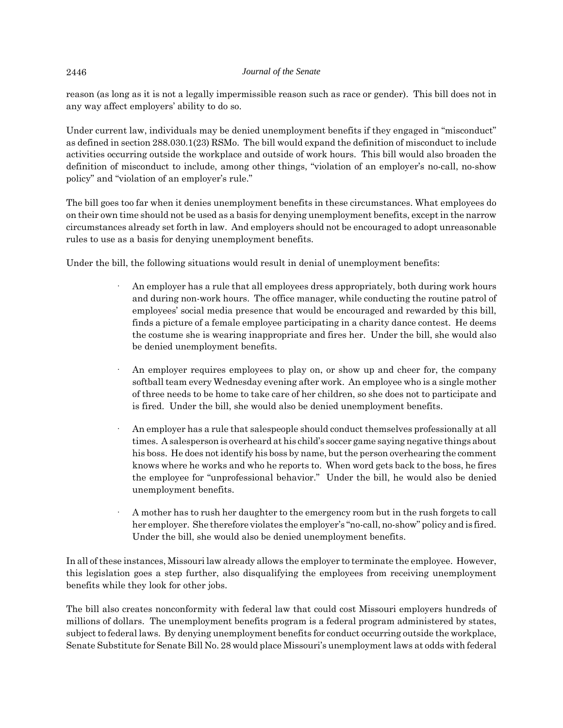reason (as long as it is not a legally impermissible reason such as race or gender). This bill does not in any way affect employers' ability to do so.

Under current law, individuals may be denied unemployment benefits if they engaged in "misconduct" as defined in section 288.030.1(23) RSMo. The bill would expand the definition of misconduct to include activities occurring outside the workplace and outside of work hours. This bill would also broaden the definition of misconduct to include, among other things, "violation of an employer's no-call, no-show policy" and "violation of an employer's rule."

The bill goes too far when it denies unemployment benefits in these circumstances. What employees do on their own time should not be used as a basis for denying unemployment benefits, except in the narrow circumstances already set forth in law. And employers should not be encouraged to adopt unreasonable rules to use as a basis for denying unemployment benefits.

Under the bill, the following situations would result in denial of unemployment benefits:

- An employer has a rule that all employees dress appropriately, both during work hours and during non-work hours. The office manager, while conducting the routine patrol of employees' social media presence that would be encouraged and rewarded by this bill, finds a picture of a female employee participating in a charity dance contest. He deems the costume she is wearing inappropriate and fires her. Under the bill, she would also be denied unemployment benefits.
- An employer requires employees to play on, or show up and cheer for, the company softball team every Wednesday evening after work. An employee who is a single mother of three needs to be home to take care of her children, so she does not to participate and is fired. Under the bill, she would also be denied unemployment benefits.
- An employer has a rule that salespeople should conduct themselves professionally at all times. A salesperson is overheard at his child's soccer game saying negative things about his boss. He does not identify his boss by name, but the person overhearing the comment knows where he works and who he reports to. When word gets back to the boss, he fires the employee for "unprofessional behavior." Under the bill, he would also be denied unemployment benefits.
- · A mother has to rush her daughter to the emergency room but in the rush forgets to call her employer. She therefore violates the employer's "no-call, no-show" policy and is fired. Under the bill, she would also be denied unemployment benefits.

In all of these instances, Missouri law already allows the employer to terminate the employee. However, this legislation goes a step further, also disqualifying the employees from receiving unemployment benefits while they look for other jobs.

The bill also creates nonconformity with federal law that could cost Missouri employers hundreds of millions of dollars. The unemployment benefits program is a federal program administered by states, subject to federal laws. By denying unemployment benefits for conduct occurring outside the workplace, Senate Substitute for Senate Bill No. 28 would place Missouri's unemployment laws at odds with federal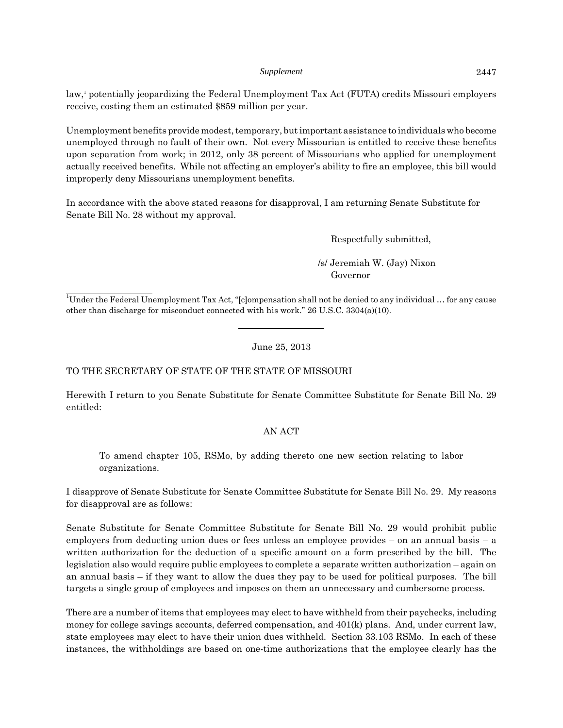law,1 potentially jeopardizing the Federal Unemployment Tax Act (FUTA) credits Missouri employers receive, costing them an estimated \$859 million per year.

Unemployment benefits provide modest, temporary, but important assistance to individuals who become unemployed through no fault of their own. Not every Missourian is entitled to receive these benefits upon separation from work; in 2012, only 38 percent of Missourians who applied for unemployment actually received benefits. While not affecting an employer's ability to fire an employee, this bill would improperly deny Missourians unemployment benefits.

In accordance with the above stated reasons for disapproval, I am returning Senate Substitute for Senate Bill No. 28 without my approval.

Respectfully submitted,

 /s/ Jeremiah W. (Jay) Nixon Governor

<sup>1</sup>Under the Federal Unemployment Tax Act, "[c]ompensation shall not be denied to any individual ... for any cause other than discharge for misconduct connected with his work." 26 U.S.C. 3304(a)(10).

June 25, 2013

# TO THE SECRETARY OF STATE OF THE STATE OF MISSOURI

Herewith I return to you Senate Substitute for Senate Committee Substitute for Senate Bill No. 29 entitled:

# AN ACT

To amend chapter 105, RSMo, by adding thereto one new section relating to labor organizations.

I disapprove of Senate Substitute for Senate Committee Substitute for Senate Bill No. 29. My reasons for disapproval are as follows:

Senate Substitute for Senate Committee Substitute for Senate Bill No. 29 would prohibit public employers from deducting union dues or fees unless an employee provides – on an annual basis – a written authorization for the deduction of a specific amount on a form prescribed by the bill. The legislation also would require public employees to complete a separate written authorization – again on an annual basis – if they want to allow the dues they pay to be used for political purposes. The bill targets a single group of employees and imposes on them an unnecessary and cumbersome process.

There are a number of items that employees may elect to have withheld from their paychecks, including money for college savings accounts, deferred compensation, and 401(k) plans. And, under current law, state employees may elect to have their union dues withheld. Section 33.103 RSMo. In each of these instances, the withholdings are based on one-time authorizations that the employee clearly has the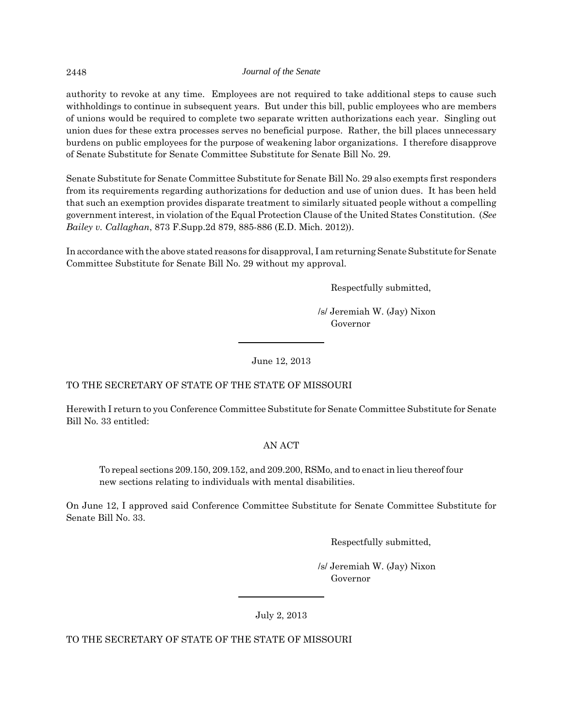authority to revoke at any time. Employees are not required to take additional steps to cause such withholdings to continue in subsequent years. But under this bill, public employees who are members of unions would be required to complete two separate written authorizations each year. Singling out union dues for these extra processes serves no beneficial purpose. Rather, the bill places unnecessary burdens on public employees for the purpose of weakening labor organizations. I therefore disapprove of Senate Substitute for Senate Committee Substitute for Senate Bill No. 29.

Senate Substitute for Senate Committee Substitute for Senate Bill No. 29 also exempts first responders from its requirements regarding authorizations for deduction and use of union dues. It has been held that such an exemption provides disparate treatment to similarly situated people without a compelling government interest, in violation of the Equal Protection Clause of the United States Constitution. (*See Bailey v. Callaghan*, 873 F.Supp.2d 879, 885-886 (E.D. Mich. 2012)).

In accordance with the above stated reasons for disapproval, I am returning Senate Substitute for Senate Committee Substitute for Senate Bill No. 29 without my approval.

Respectfully submitted,

 /s/ Jeremiah W. (Jay) Nixon Governor

June 12, 2013

# TO THE SECRETARY OF STATE OF THE STATE OF MISSOURI

Herewith I return to you Conference Committee Substitute for Senate Committee Substitute for Senate Bill No. 33 entitled:

# AN ACT

To repeal sections 209.150, 209.152, and 209.200, RSMo, and to enact in lieu thereof four new sections relating to individuals with mental disabilities.

On June 12, I approved said Conference Committee Substitute for Senate Committee Substitute for Senate Bill No. 33.

Respectfully submitted,

 /s/ Jeremiah W. (Jay) Nixon Governor

July 2, 2013

TO THE SECRETARY OF STATE OF THE STATE OF MISSOURI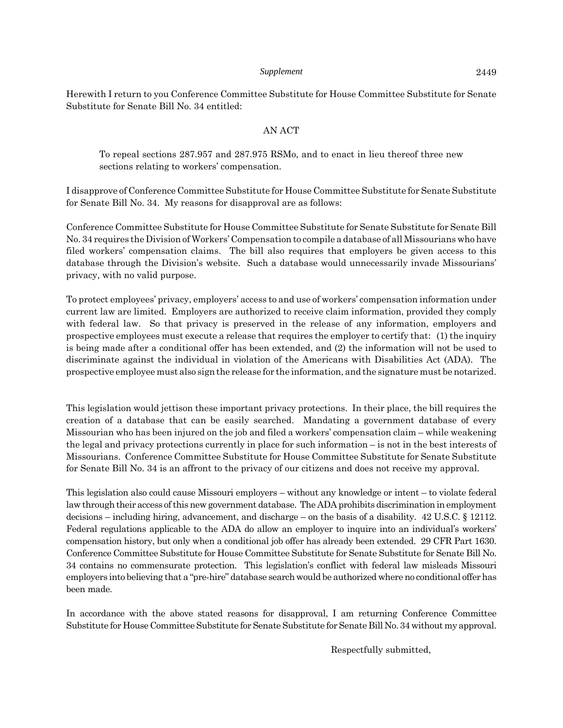Herewith I return to you Conference Committee Substitute for House Committee Substitute for Senate Substitute for Senate Bill No. 34 entitled:

# AN ACT

To repeal sections 287.957 and 287.975 RSMo, and to enact in lieu thereof three new sections relating to workers' compensation.

I disapprove of Conference Committee Substitute for House Committee Substitute for Senate Substitute for Senate Bill No. 34. My reasons for disapproval are as follows:

Conference Committee Substitute for House Committee Substitute for Senate Substitute for Senate Bill No. 34 requires the Division of Workers' Compensation to compile a database of all Missourians who have filed workers' compensation claims. The bill also requires that employers be given access to this database through the Division's website. Such a database would unnecessarily invade Missourians' privacy, with no valid purpose.

To protect employees' privacy, employers' access to and use of workers' compensation information under current law are limited. Employers are authorized to receive claim information, provided they comply with federal law. So that privacy is preserved in the release of any information, employers and prospective employees must execute a release that requires the employer to certify that: (1) the inquiry is being made after a conditional offer has been extended, and (2) the information will not be used to discriminate against the individual in violation of the Americans with Disabilities Act (ADA). The prospective employee must also sign the release for the information, and the signature must be notarized.

This legislation would jettison these important privacy protections. In their place, the bill requires the creation of a database that can be easily searched. Mandating a government database of every Missourian who has been injured on the job and filed a workers' compensation claim – while weakening the legal and privacy protections currently in place for such information – is not in the best interests of Missourians. Conference Committee Substitute for House Committee Substitute for Senate Substitute for Senate Bill No. 34 is an affront to the privacy of our citizens and does not receive my approval.

This legislation also could cause Missouri employers – without any knowledge or intent – to violate federal law through their access of this new government database. The ADA prohibits discrimination in employment decisions – including hiring, advancement, and discharge – on the basis of a disability. 42 U.S.C. § 12112. Federal regulations applicable to the ADA do allow an employer to inquire into an individual's workers' compensation history, but only when a conditional job offer has already been extended. 29 CFR Part 1630. Conference Committee Substitute for House Committee Substitute for Senate Substitute for Senate Bill No. 34 contains no commensurate protection. This legislation's conflict with federal law misleads Missouri employers into believing that a "pre-hire" database search would be authorized where no conditional offer has been made.

In accordance with the above stated reasons for disapproval, I am returning Conference Committee Substitute for House Committee Substitute for Senate Substitute for Senate Bill No. 34 without my approval.

Respectfully submitted,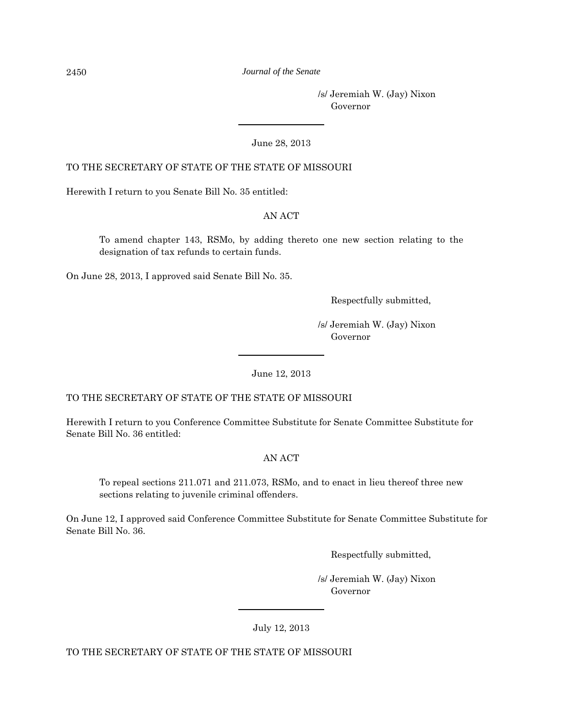#### 2450 *Journal of the Senate*

 /s/ Jeremiah W. (Jay) Nixon Governor

June 28, 2013

# TO THE SECRETARY OF STATE OF THE STATE OF MISSOURI

Herewith I return to you Senate Bill No. 35 entitled:

# AN ACT

To amend chapter 143, RSMo, by adding thereto one new section relating to the designation of tax refunds to certain funds.

On June 28, 2013, I approved said Senate Bill No. 35.

Respectfully submitted,

 /s/ Jeremiah W. (Jay) Nixon Governor

June 12, 2013

TO THE SECRETARY OF STATE OF THE STATE OF MISSOURI

Herewith I return to you Conference Committee Substitute for Senate Committee Substitute for Senate Bill No. 36 entitled:

# AN ACT

To repeal sections 211.071 and 211.073, RSMo, and to enact in lieu thereof three new sections relating to juvenile criminal offenders.

On June 12, I approved said Conference Committee Substitute for Senate Committee Substitute for Senate Bill No. 36.

Respectfully submitted,

 /s/ Jeremiah W. (Jay) Nixon Governor

July 12, 2013

TO THE SECRETARY OF STATE OF THE STATE OF MISSOURI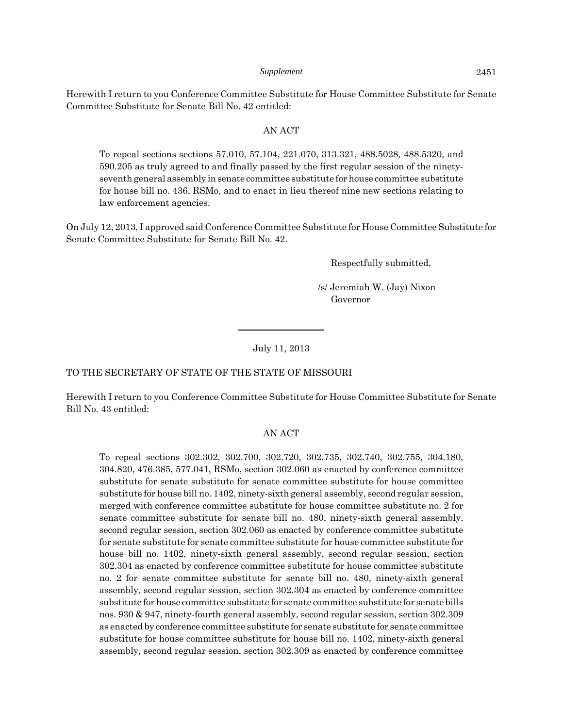Herewith I return to you Conference Committee Substitute for House Committee Substitute for Senate Committee Substitute for Senate Bill No. 42 entitled:

#### AN ACT

To repeal sections sections 57.010, 57.104, 221.070, 313.321, 488.5028, 488.5320, and 590.205 as truly agreed to and finally passed by the first regular session of the ninetyseventh general assembly in senate committee substitute for house committee substitute for house bill no. 436, RSMo, and to enact in lieu thereof nine new sections relating to law enforcement agencies.

On July 12, 2013, I approved said Conference Committee Substitute for House Committee Substitute for Senate Committee Substitute for Senate Bill No. 42.

Respectfully submitted,

 /s/ Jeremiah W. (Jay) Nixon Governor

July 11, 2013

#### TO THE SECRETARY OF STATE OF THE STATE OF MISSOURI

Herewith I return to you Conference Committee Substitute for House Committee Substitute for Senate Bill No. 43 entitled:

#### AN ACT

To repeal sections 302.302, 302.700, 302.720, 302.735, 302.740, 302.755, 304.180, 304.820, 476.385, 577.041, RSMo, section 302.060 as enacted by conference committee substitute for senate substitute for senate committee substitute for house committee substitute for house bill no. 1402, ninety-sixth general assembly, second regular session, merged with conference committee substitute for house committee substitute no. 2 for senate committee substitute for senate bill no. 480, ninety-sixth general assembly, second regular session, section 302.060 as enacted by conference committee substitute for senate substitute for senate committee substitute for house committee substitute for house bill no. 1402, ninety-sixth general assembly, second regular session, section 302.304 as enacted by conference committee substitute for house committee substitute no. 2 for senate committee substitute for senate bill no. 480, ninety-sixth general assembly, second regular session, section 302.304 as enacted by conference committee substitute for house committee substitute for senate committee substitute for senate bills nos. 930 & 947, ninety-fourth general assembly, second regular session, section 302.309 as enacted by conference committee substitute for senate substitute for senate committee substitute for house committee substitute for house bill no. 1402, ninety-sixth general assembly, second regular session, section 302.309 as enacted by conference committee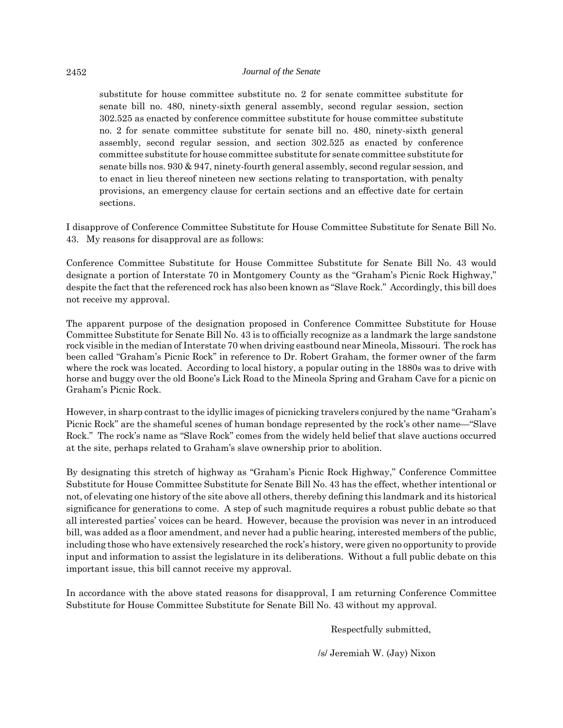substitute for house committee substitute no. 2 for senate committee substitute for senate bill no. 480, ninety-sixth general assembly, second regular session, section 302.525 as enacted by conference committee substitute for house committee substitute no. 2 for senate committee substitute for senate bill no. 480, ninety-sixth general assembly, second regular session, and section 302.525 as enacted by conference committee substitute for house committee substitute for senate committee substitute for senate bills nos. 930 & 947, ninety-fourth general assembly, second regular session, and to enact in lieu thereof nineteen new sections relating to transportation, with penalty provisions, an emergency clause for certain sections and an effective date for certain sections.

I disapprove of Conference Committee Substitute for House Committee Substitute for Senate Bill No. 43. My reasons for disapproval are as follows:

Conference Committee Substitute for House Committee Substitute for Senate Bill No. 43 would designate a portion of Interstate 70 in Montgomery County as the "Graham's Picnic Rock Highway," despite the fact that the referenced rock has also been known as "Slave Rock." Accordingly, this bill does not receive my approval.

The apparent purpose of the designation proposed in Conference Committee Substitute for House Committee Substitute for Senate Bill No. 43 is to officially recognize as a landmark the large sandstone rock visible in the median of Interstate 70 when driving eastbound near Mineola, Missouri. The rock has been called "Graham's Picnic Rock" in reference to Dr. Robert Graham, the former owner of the farm where the rock was located. According to local history, a popular outing in the 1880s was to drive with horse and buggy over the old Boone's Lick Road to the Mineola Spring and Graham Cave for a picnic on Graham's Picnic Rock.

However, in sharp contrast to the idyllic images of picnicking travelers conjured by the name "Graham's Picnic Rock" are the shameful scenes of human bondage represented by the rock's other name—"Slave Rock." The rock's name as "Slave Rock" comes from the widely held belief that slave auctions occurred at the site, perhaps related to Graham's slave ownership prior to abolition.

By designating this stretch of highway as "Graham's Picnic Rock Highway," Conference Committee Substitute for House Committee Substitute for Senate Bill No. 43 has the effect, whether intentional or not, of elevating one history of the site above all others, thereby defining this landmark and its historical significance for generations to come. A step of such magnitude requires a robust public debate so that all interested parties' voices can be heard. However, because the provision was never in an introduced bill, was added as a floor amendment, and never had a public hearing, interested members of the public, including those who have extensively researched the rock's history, were given no opportunity to provide input and information to assist the legislature in its deliberations. Without a full public debate on this important issue, this bill cannot receive my approval.

In accordance with the above stated reasons for disapproval, I am returning Conference Committee Substitute for House Committee Substitute for Senate Bill No. 43 without my approval.

Respectfully submitted,

/s/ Jeremiah W. (Jay) Nixon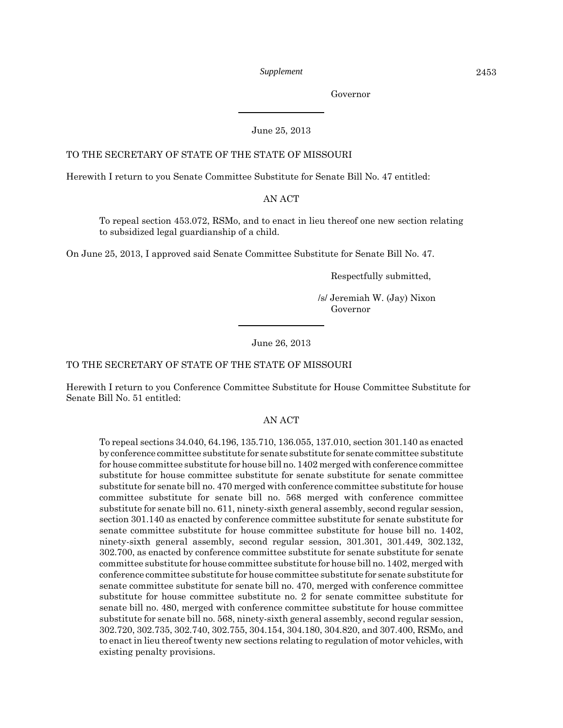Governor

#### June 25, 2013

#### TO THE SECRETARY OF STATE OF THE STATE OF MISSOURI

Herewith I return to you Senate Committee Substitute for Senate Bill No. 47 entitled:

#### AN ACT

To repeal section 453.072, RSMo, and to enact in lieu thereof one new section relating to subsidized legal guardianship of a child.

On June 25, 2013, I approved said Senate Committee Substitute for Senate Bill No. 47.

Respectfully submitted,

 /s/ Jeremiah W. (Jay) Nixon Governor

#### June 26, 2013

#### TO THE SECRETARY OF STATE OF THE STATE OF MISSOURI

Herewith I return to you Conference Committee Substitute for House Committee Substitute for Senate Bill No. 51 entitled:

#### AN ACT

To repeal sections 34.040, 64.196, 135.710, 136.055, 137.010, section 301.140 as enacted by conference committee substitute for senate substitute for senate committee substitute for house committee substitute for house bill no. 1402 merged with conference committee substitute for house committee substitute for senate substitute for senate committee substitute for senate bill no. 470 merged with conference committee substitute for house committee substitute for senate bill no. 568 merged with conference committee substitute for senate bill no. 611, ninety-sixth general assembly, second regular session, section 301.140 as enacted by conference committee substitute for senate substitute for senate committee substitute for house committee substitute for house bill no. 1402, ninety-sixth general assembly, second regular session, 301.301, 301.449, 302.132, 302.700, as enacted by conference committee substitute for senate substitute for senate committee substitute for house committee substitute for house bill no. 1402, merged with conference committee substitute for house committee substitute for senate substitute for senate committee substitute for senate bill no. 470, merged with conference committee substitute for house committee substitute no. 2 for senate committee substitute for senate bill no. 480, merged with conference committee substitute for house committee substitute for senate bill no. 568, ninety-sixth general assembly, second regular session, 302.720, 302.735, 302.740, 302.755, 304.154, 304.180, 304.820, and 307.400, RSMo, and to enact in lieu thereof twenty new sections relating to regulation of motor vehicles, with existing penalty provisions.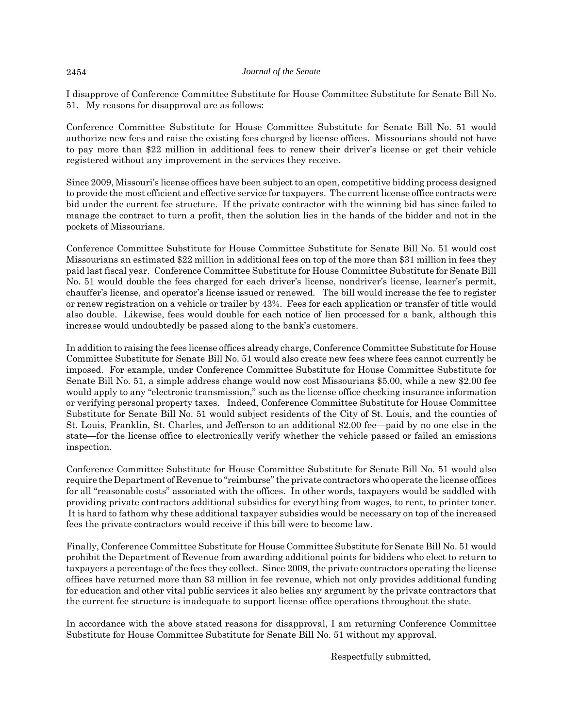I disapprove of Conference Committee Substitute for House Committee Substitute for Senate Bill No. 51. My reasons for disapproval are as follows:

Conference Committee Substitute for House Committee Substitute for Senate Bill No. 51 would authorize new fees and raise the existing fees charged by license offices. Missourians should not have to pay more than \$22 million in additional fees to renew their driver's license or get their vehicle registered without any improvement in the services they receive.

Since 2009, Missouri's license offices have been subject to an open, competitive bidding process designed to provide the most efficient and effective service for taxpayers. The current license office contracts were bid under the current fee structure. If the private contractor with the winning bid has since failed to manage the contract to turn a profit, then the solution lies in the hands of the bidder and not in the pockets of Missourians.

Conference Committee Substitute for House Committee Substitute for Senate Bill No. 51 would cost Missourians an estimated \$22 million in additional fees on top of the more than \$31 million in fees they paid last fiscal year. Conference Committee Substitute for House Committee Substitute for Senate Bill No. 51 would double the fees charged for each driver's license, nondriver's license, learner's permit, chauffer's license, and operator's license issued or renewed. The bill would increase the fee to register or renew registration on a vehicle or trailer by 43%. Fees for each application or transfer of title would also double. Likewise, fees would double for each notice of lien processed for a bank, although this increase would undoubtedly be passed along to the bank's customers.

In addition to raising the fees license offices already charge, Conference Committee Substitute for House Committee Substitute for Senate Bill No. 51 would also create new fees where fees cannot currently be imposed. For example, under Conference Committee Substitute for House Committee Substitute for Senate Bill No. 51, a simple address change would now cost Missourians \$5.00, while a new \$2.00 fee would apply to any "electronic transmission," such as the license office checking insurance information or verifying personal property taxes. Indeed, Conference Committee Substitute for House Committee Substitute for Senate Bill No. 51 would subject residents of the City of St. Louis, and the counties of St. Louis, Franklin, St. Charles, and Jefferson to an additional \$2.00 fee—paid by no one else in the state—for the license office to electronically verify whether the vehicle passed or failed an emissions inspection.

Conference Committee Substitute for House Committee Substitute for Senate Bill No. 51 would also require the Department of Revenue to "reimburse" the private contractors who operate the license offices for all "reasonable costs" associated with the offices. In other words, taxpayers would be saddled with providing private contractors additional subsidies for everything from wages, to rent, to printer toner. It is hard to fathom why these additional taxpayer subsidies would be necessary on top of the increased fees the private contractors would receive if this bill were to become law.

Finally, Conference Committee Substitute for House Committee Substitute for Senate Bill No. 51 would prohibit the Department of Revenue from awarding additional points for bidders who elect to return to taxpayers a percentage of the fees they collect. Since 2009, the private contractors operating the license offices have returned more than \$3 million in fee revenue, which not only provides additional funding for education and other vital public services it also belies any argument by the private contractors that the current fee structure is inadequate to support license office operations throughout the state.

In accordance with the above stated reasons for disapproval, I am returning Conference Committee Substitute for House Committee Substitute for Senate Bill No. 51 without my approval.

Respectfully submitted,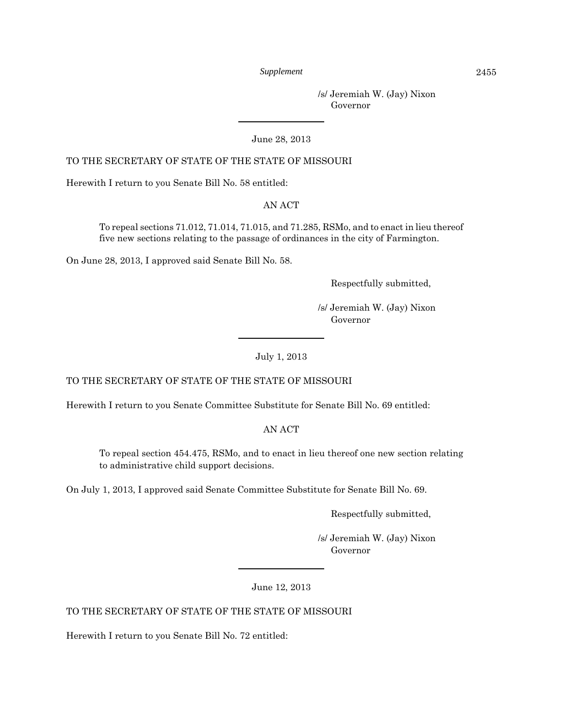/s/ Jeremiah W. (Jay) Nixon Governor

June 28, 2013

# TO THE SECRETARY OF STATE OF THE STATE OF MISSOURI

Herewith I return to you Senate Bill No. 58 entitled:

AN ACT

To repeal sections 71.012, 71.014, 71.015, and 71.285, RSMo, and to enact in lieu thereof five new sections relating to the passage of ordinances in the city of Farmington.

On June 28, 2013, I approved said Senate Bill No. 58.

Respectfully submitted,

 /s/ Jeremiah W. (Jay) Nixon Governor

July 1, 2013

# TO THE SECRETARY OF STATE OF THE STATE OF MISSOURI

Herewith I return to you Senate Committee Substitute for Senate Bill No. 69 entitled:

AN ACT

To repeal section 454.475, RSMo, and to enact in lieu thereof one new section relating to administrative child support decisions.

On July 1, 2013, I approved said Senate Committee Substitute for Senate Bill No. 69.

Respectfully submitted,

 /s/ Jeremiah W. (Jay) Nixon Governor

June 12, 2013

TO THE SECRETARY OF STATE OF THE STATE OF MISSOURI

Herewith I return to you Senate Bill No. 72 entitled: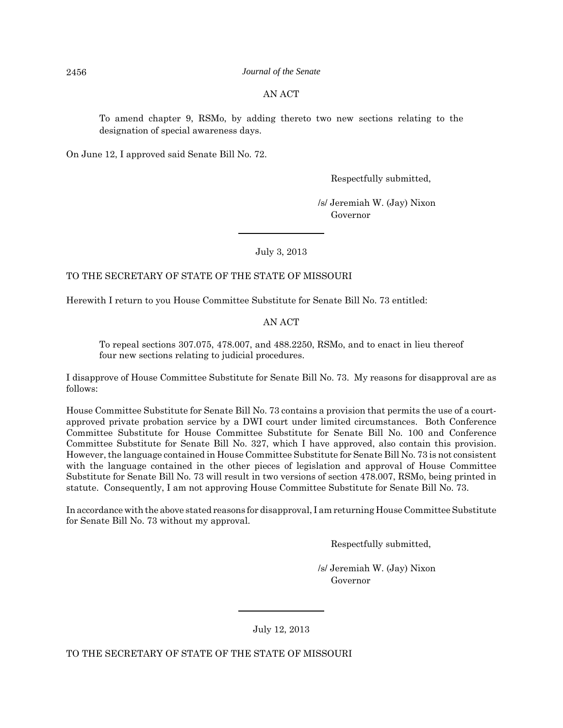#### 2456 *Journal of the Senate*

# AN ACT

To amend chapter 9, RSMo, by adding thereto two new sections relating to the designation of special awareness days.

On June 12, I approved said Senate Bill No. 72.

Respectfully submitted,

 /s/ Jeremiah W. (Jay) Nixon Governor

July 3, 2013

# TO THE SECRETARY OF STATE OF THE STATE OF MISSOURI

Herewith I return to you House Committee Substitute for Senate Bill No. 73 entitled:

AN ACT

To repeal sections 307.075, 478.007, and 488.2250, RSMo, and to enact in lieu thereof four new sections relating to judicial procedures.

I disapprove of House Committee Substitute for Senate Bill No. 73. My reasons for disapproval are as follows:

House Committee Substitute for Senate Bill No. 73 contains a provision that permits the use of a courtapproved private probation service by a DWI court under limited circumstances. Both Conference Committee Substitute for House Committee Substitute for Senate Bill No. 100 and Conference Committee Substitute for Senate Bill No. 327, which I have approved, also contain this provision. However, the language contained in House Committee Substitute for Senate Bill No. 73 is not consistent with the language contained in the other pieces of legislation and approval of House Committee Substitute for Senate Bill No. 73 will result in two versions of section 478.007, RSMo, being printed in statute. Consequently, I am not approving House Committee Substitute for Senate Bill No. 73.

In accordance with the above stated reasons for disapproval, I am returning House Committee Substitute for Senate Bill No. 73 without my approval.

Respectfully submitted,

 /s/ Jeremiah W. (Jay) Nixon Governor

July 12, 2013

TO THE SECRETARY OF STATE OF THE STATE OF MISSOURI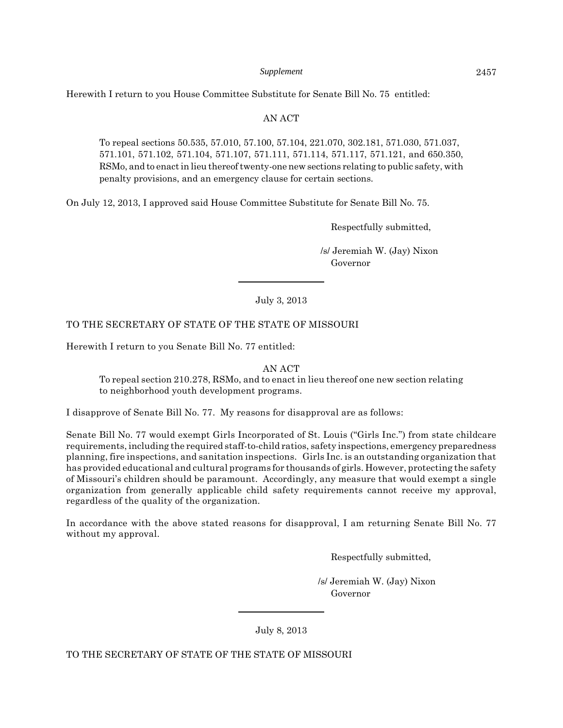Herewith I return to you House Committee Substitute for Senate Bill No. 75 entitled:

# AN ACT

To repeal sections 50.535, 57.010, 57.100, 57.104, 221.070, 302.181, 571.030, 571.037, 571.101, 571.102, 571.104, 571.107, 571.111, 571.114, 571.117, 571.121, and 650.350, RSMo, and to enact in lieu thereof twenty-one new sections relating to public safety, with penalty provisions, and an emergency clause for certain sections.

On July 12, 2013, I approved said House Committee Substitute for Senate Bill No. 75.

Respectfully submitted,

 /s/ Jeremiah W. (Jay) Nixon Governor

July 3, 2013

# TO THE SECRETARY OF STATE OF THE STATE OF MISSOURI

Herewith I return to you Senate Bill No. 77 entitled:

AN ACT

To repeal section 210.278, RSMo, and to enact in lieu thereof one new section relating to neighborhood youth development programs.

I disapprove of Senate Bill No. 77. My reasons for disapproval are as follows:

Senate Bill No. 77 would exempt Girls Incorporated of St. Louis ("Girls Inc.") from state childcare requirements, including the required staff-to-child ratios, safety inspections, emergency preparedness planning, fire inspections, and sanitation inspections. Girls Inc. is an outstanding organization that has provided educational and cultural programs for thousands of girls. However, protecting the safety of Missouri's children should be paramount. Accordingly, any measure that would exempt a single organization from generally applicable child safety requirements cannot receive my approval, regardless of the quality of the organization.

In accordance with the above stated reasons for disapproval, I am returning Senate Bill No. 77 without my approval.

Respectfully submitted,

 /s/ Jeremiah W. (Jay) Nixon Governor

July 8, 2013

TO THE SECRETARY OF STATE OF THE STATE OF MISSOURI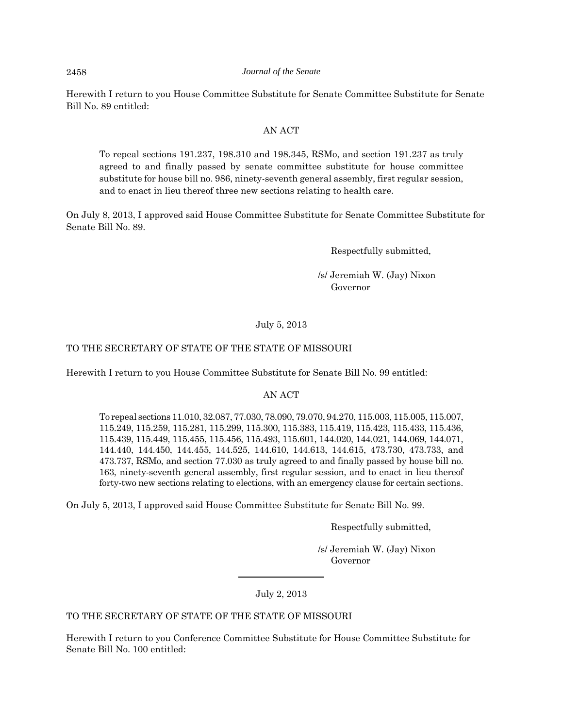#### 2458 *Journal of the Senate*

Herewith I return to you House Committee Substitute for Senate Committee Substitute for Senate Bill No. 89 entitled:

#### AN ACT

To repeal sections 191.237, 198.310 and 198.345, RSMo, and section 191.237 as truly agreed to and finally passed by senate committee substitute for house committee substitute for house bill no. 986, ninety-seventh general assembly, first regular session, and to enact in lieu thereof three new sections relating to health care.

On July 8, 2013, I approved said House Committee Substitute for Senate Committee Substitute for Senate Bill No. 89.

Respectfully submitted,

 /s/ Jeremiah W. (Jay) Nixon Governor

# July 5, 2013

# TO THE SECRETARY OF STATE OF THE STATE OF MISSOURI

Herewith I return to you House Committee Substitute for Senate Bill No. 99 entitled:

#### AN ACT

To repeal sections 11.010, 32.087, 77.030, 78.090, 79.070, 94.270, 115.003, 115.005, 115.007, 115.249, 115.259, 115.281, 115.299, 115.300, 115.383, 115.419, 115.423, 115.433, 115.436, 115.439, 115.449, 115.455, 115.456, 115.493, 115.601, 144.020, 144.021, 144.069, 144.071, 144.440, 144.450, 144.455, 144.525, 144.610, 144.613, 144.615, 473.730, 473.733, and 473.737, RSMo, and section 77.030 as truly agreed to and finally passed by house bill no. 163, ninety-seventh general assembly, first regular session, and to enact in lieu thereof forty-two new sections relating to elections, with an emergency clause for certain sections.

On July 5, 2013, I approved said House Committee Substitute for Senate Bill No. 99.

Respectfully submitted,

 /s/ Jeremiah W. (Jay) Nixon Governor

July 2, 2013

# TO THE SECRETARY OF STATE OF THE STATE OF MISSOURI

Herewith I return to you Conference Committee Substitute for House Committee Substitute for Senate Bill No. 100 entitled: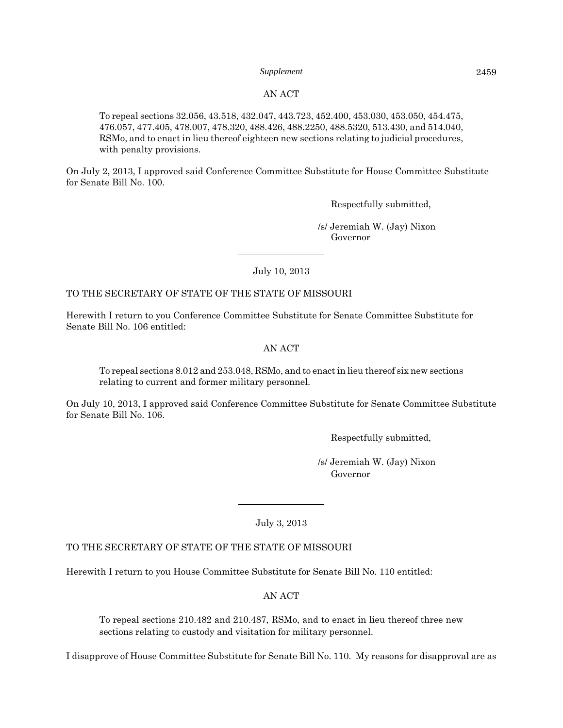#### AN ACT

To repeal sections 32.056, 43.518, 432.047, 443.723, 452.400, 453.030, 453.050, 454.475, 476.057, 477.405, 478.007, 478.320, 488.426, 488.2250, 488.5320, 513.430, and 514.040, RSMo, and to enact in lieu thereof eighteen new sections relating to judicial procedures, with penalty provisions.

On July 2, 2013, I approved said Conference Committee Substitute for House Committee Substitute for Senate Bill No. 100.

Respectfully submitted,

 /s/ Jeremiah W. (Jay) Nixon Governor

July 10, 2013

#### TO THE SECRETARY OF STATE OF THE STATE OF MISSOURI

Herewith I return to you Conference Committee Substitute for Senate Committee Substitute for Senate Bill No. 106 entitled:

# AN ACT

To repeal sections 8.012 and 253.048, RSMo, and to enact in lieu thereof six new sections relating to current and former military personnel.

On July 10, 2013, I approved said Conference Committee Substitute for Senate Committee Substitute for Senate Bill No. 106.

Respectfully submitted,

 /s/ Jeremiah W. (Jay) Nixon Governor

July 3, 2013

#### TO THE SECRETARY OF STATE OF THE STATE OF MISSOURI

Herewith I return to you House Committee Substitute for Senate Bill No. 110 entitled:

AN ACT

To repeal sections 210.482 and 210.487, RSMo, and to enact in lieu thereof three new sections relating to custody and visitation for military personnel.

I disapprove of House Committee Substitute for Senate Bill No. 110. My reasons for disapproval are as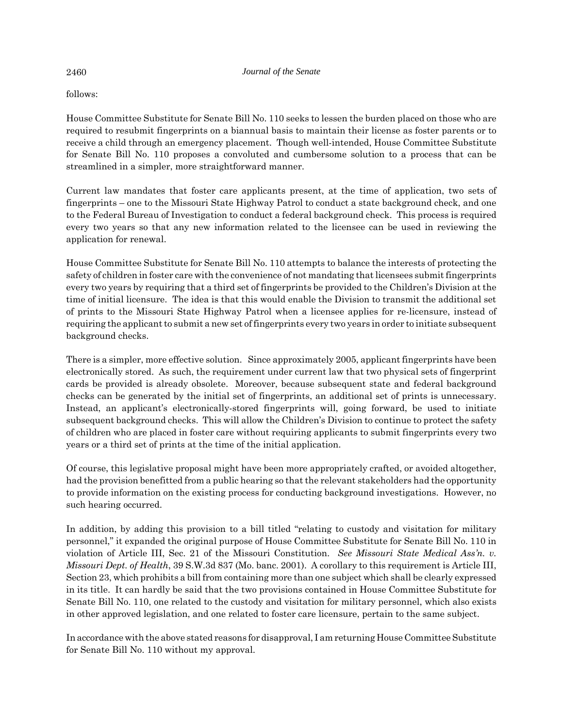follows:

House Committee Substitute for Senate Bill No. 110 seeks to lessen the burden placed on those who are required to resubmit fingerprints on a biannual basis to maintain their license as foster parents or to receive a child through an emergency placement. Though well-intended, House Committee Substitute for Senate Bill No. 110 proposes a convoluted and cumbersome solution to a process that can be streamlined in a simpler, more straightforward manner.

Current law mandates that foster care applicants present, at the time of application, two sets of fingerprints – one to the Missouri State Highway Patrol to conduct a state background check, and one to the Federal Bureau of Investigation to conduct a federal background check. This process is required every two years so that any new information related to the licensee can be used in reviewing the application for renewal.

House Committee Substitute for Senate Bill No. 110 attempts to balance the interests of protecting the safety of children in foster care with the convenience of not mandating that licensees submit fingerprints every two years by requiring that a third set of fingerprints be provided to the Children's Division at the time of initial licensure. The idea is that this would enable the Division to transmit the additional set of prints to the Missouri State Highway Patrol when a licensee applies for re-licensure, instead of requiring the applicant to submit a new set of fingerprints every two years in order to initiate subsequent background checks.

There is a simpler, more effective solution. Since approximately 2005, applicant fingerprints have been electronically stored. As such, the requirement under current law that two physical sets of fingerprint cards be provided is already obsolete. Moreover, because subsequent state and federal background checks can be generated by the initial set of fingerprints, an additional set of prints is unnecessary. Instead, an applicant's electronically-stored fingerprints will, going forward, be used to initiate subsequent background checks. This will allow the Children's Division to continue to protect the safety of children who are placed in foster care without requiring applicants to submit fingerprints every two years or a third set of prints at the time of the initial application.

Of course, this legislative proposal might have been more appropriately crafted, or avoided altogether, had the provision benefitted from a public hearing so that the relevant stakeholders had the opportunity to provide information on the existing process for conducting background investigations. However, no such hearing occurred.

In addition, by adding this provision to a bill titled "relating to custody and visitation for military personnel," it expanded the original purpose of House Committee Substitute for Senate Bill No. 110 in violation of Article III, Sec. 21 of the Missouri Constitution. *See Missouri State Medical Ass'n. v. Missouri Dept. of Health*, 39 S.W.3d 837 (Mo. banc. 2001). A corollary to this requirement is Article III, Section 23, which prohibits a bill from containing more than one subject which shall be clearly expressed in its title. It can hardly be said that the two provisions contained in House Committee Substitute for Senate Bill No. 110, one related to the custody and visitation for military personnel, which also exists in other approved legislation, and one related to foster care licensure, pertain to the same subject.

In accordance with the above stated reasons for disapproval, I am returning House Committee Substitute for Senate Bill No. 110 without my approval.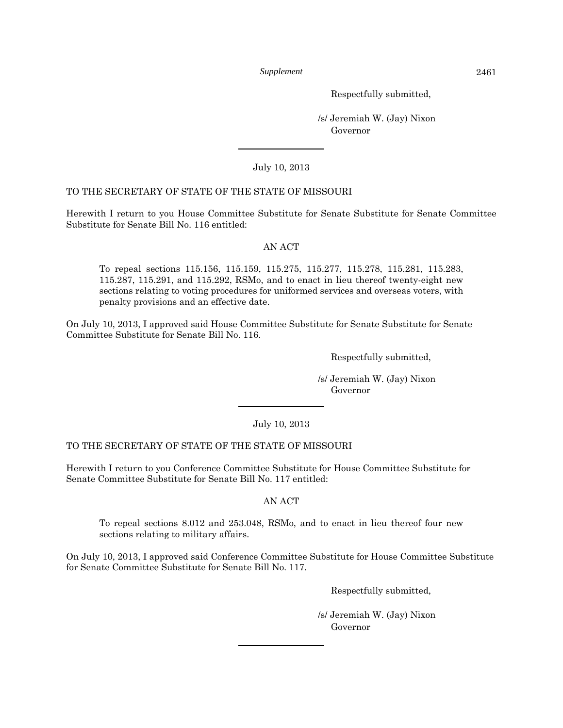Respectfully submitted,

 /s/ Jeremiah W. (Jay) Nixon Governor

July 10, 2013

# TO THE SECRETARY OF STATE OF THE STATE OF MISSOURI

Herewith I return to you House Committee Substitute for Senate Substitute for Senate Committee Substitute for Senate Bill No. 116 entitled:

# AN ACT

To repeal sections 115.156, 115.159, 115.275, 115.277, 115.278, 115.281, 115.283, 115.287, 115.291, and 115.292, RSMo, and to enact in lieu thereof twenty-eight new sections relating to voting procedures for uniformed services and overseas voters, with penalty provisions and an effective date.

On July 10, 2013, I approved said House Committee Substitute for Senate Substitute for Senate Committee Substitute for Senate Bill No. 116.

Respectfully submitted,

 /s/ Jeremiah W. (Jay) Nixon Governor

July 10, 2013

# TO THE SECRETARY OF STATE OF THE STATE OF MISSOURI

Herewith I return to you Conference Committee Substitute for House Committee Substitute for Senate Committee Substitute for Senate Bill No. 117 entitled:

# AN ACT

To repeal sections 8.012 and 253.048, RSMo, and to enact in lieu thereof four new sections relating to military affairs.

On July 10, 2013, I approved said Conference Committee Substitute for House Committee Substitute for Senate Committee Substitute for Senate Bill No. 117.

Respectfully submitted,

 /s/ Jeremiah W. (Jay) Nixon Governor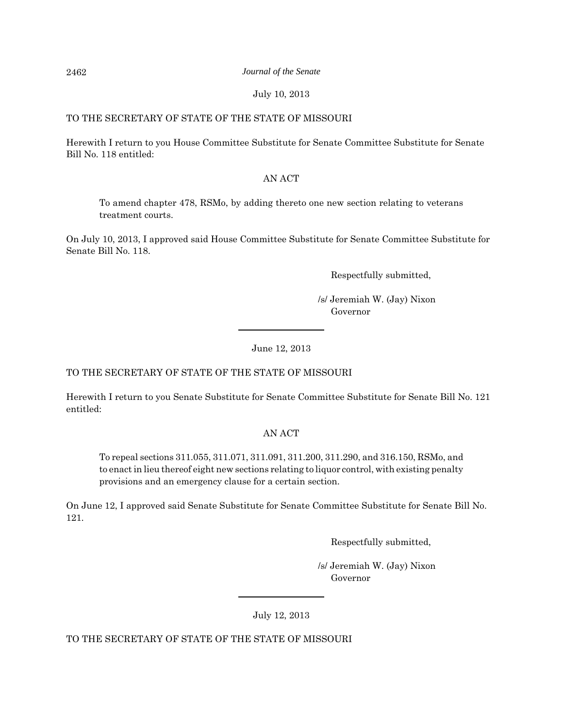#### 2462 *Journal of the Senate*

# July 10, 2013

# TO THE SECRETARY OF STATE OF THE STATE OF MISSOURI

Herewith I return to you House Committee Substitute for Senate Committee Substitute for Senate Bill No. 118 entitled:

# AN ACT

To amend chapter 478, RSMo, by adding thereto one new section relating to veterans treatment courts.

On July 10, 2013, I approved said House Committee Substitute for Senate Committee Substitute for Senate Bill No. 118.

Respectfully submitted,

 /s/ Jeremiah W. (Jay) Nixon Governor

June 12, 2013

# TO THE SECRETARY OF STATE OF THE STATE OF MISSOURI

Herewith I return to you Senate Substitute for Senate Committee Substitute for Senate Bill No. 121 entitled:

# AN ACT

To repeal sections 311.055, 311.071, 311.091, 311.200, 311.290, and 316.150, RSMo, and to enact in lieu thereof eight new sections relating to liquor control, with existing penalty provisions and an emergency clause for a certain section.

On June 12, I approved said Senate Substitute for Senate Committee Substitute for Senate Bill No. 121.

Respectfully submitted,

 /s/ Jeremiah W. (Jay) Nixon Governor

July 12, 2013

TO THE SECRETARY OF STATE OF THE STATE OF MISSOURI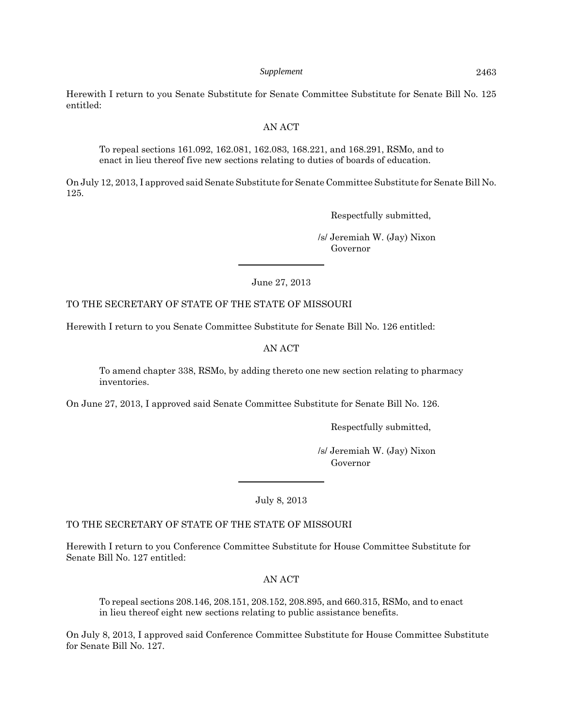Herewith I return to you Senate Substitute for Senate Committee Substitute for Senate Bill No. 125 entitled:

#### AN ACT

To repeal sections 161.092, 162.081, 162.083, 168.221, and 168.291, RSMo, and to enact in lieu thereof five new sections relating to duties of boards of education.

On July 12, 2013, I approved said Senate Substitute for Senate Committee Substitute for Senate Bill No. 125.

Respectfully submitted,

 /s/ Jeremiah W. (Jay) Nixon Governor

June 27, 2013

# TO THE SECRETARY OF STATE OF THE STATE OF MISSOURI

Herewith I return to you Senate Committee Substitute for Senate Bill No. 126 entitled:

# AN ACT

To amend chapter 338, RSMo, by adding thereto one new section relating to pharmacy inventories.

On June 27, 2013, I approved said Senate Committee Substitute for Senate Bill No. 126.

Respectfully submitted,

 /s/ Jeremiah W. (Jay) Nixon Governor

July 8, 2013

#### TO THE SECRETARY OF STATE OF THE STATE OF MISSOURI

Herewith I return to you Conference Committee Substitute for House Committee Substitute for Senate Bill No. 127 entitled:

AN ACT

To repeal sections 208.146, 208.151, 208.152, 208.895, and 660.315, RSMo, and to enact in lieu thereof eight new sections relating to public assistance benefits.

On July 8, 2013, I approved said Conference Committee Substitute for House Committee Substitute for Senate Bill No. 127.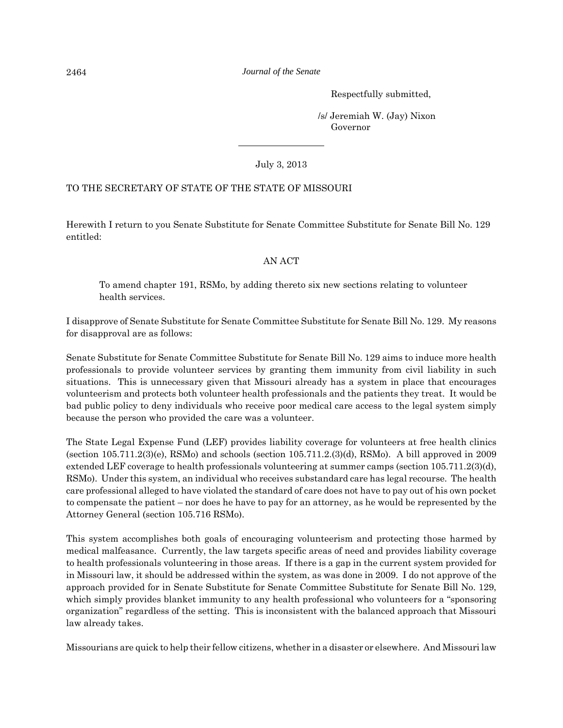Respectfully submitted,

 /s/ Jeremiah W. (Jay) Nixon Governor

July 3, 2013

# TO THE SECRETARY OF STATE OF THE STATE OF MISSOURI

Herewith I return to you Senate Substitute for Senate Committee Substitute for Senate Bill No. 129 entitled:

# AN ACT

To amend chapter 191, RSMo, by adding thereto six new sections relating to volunteer health services.

I disapprove of Senate Substitute for Senate Committee Substitute for Senate Bill No. 129. My reasons for disapproval are as follows:

Senate Substitute for Senate Committee Substitute for Senate Bill No. 129 aims to induce more health professionals to provide volunteer services by granting them immunity from civil liability in such situations. This is unnecessary given that Missouri already has a system in place that encourages volunteerism and protects both volunteer health professionals and the patients they treat. It would be bad public policy to deny individuals who receive poor medical care access to the legal system simply because the person who provided the care was a volunteer.

The State Legal Expense Fund (LEF) provides liability coverage for volunteers at free health clinics (section 105.711.2(3)(e), RSMo) and schools (section 105.711.2.(3)(d), RSMo). A bill approved in 2009 extended LEF coverage to health professionals volunteering at summer camps (section 105.711.2(3)(d), RSMo). Under this system, an individual who receives substandard care has legal recourse. The health care professional alleged to have violated the standard of care does not have to pay out of his own pocket to compensate the patient – nor does he have to pay for an attorney, as he would be represented by the Attorney General (section 105.716 RSMo).

This system accomplishes both goals of encouraging volunteerism and protecting those harmed by medical malfeasance. Currently, the law targets specific areas of need and provides liability coverage to health professionals volunteering in those areas. If there is a gap in the current system provided for in Missouri law, it should be addressed within the system, as was done in 2009. I do not approve of the approach provided for in Senate Substitute for Senate Committee Substitute for Senate Bill No. 129, which simply provides blanket immunity to any health professional who volunteers for a "sponsoring organization" regardless of the setting. This is inconsistent with the balanced approach that Missouri law already takes.

Missourians are quick to help their fellow citizens, whether in a disaster or elsewhere. And Missouri law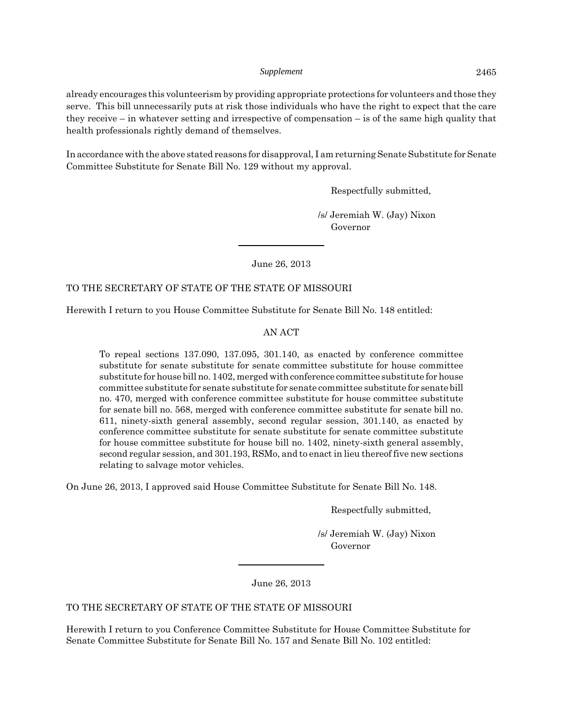already encourages this volunteerism by providing appropriate protections for volunteers and those they serve. This bill unnecessarily puts at risk those individuals who have the right to expect that the care they receive – in whatever setting and irrespective of compensation – is of the same high quality that health professionals rightly demand of themselves.

In accordance with the above stated reasons for disapproval, I am returning Senate Substitute for Senate Committee Substitute for Senate Bill No. 129 without my approval.

Respectfully submitted,

 /s/ Jeremiah W. (Jay) Nixon Governor

June 26, 2013

# TO THE SECRETARY OF STATE OF THE STATE OF MISSOURI

Herewith I return to you House Committee Substitute for Senate Bill No. 148 entitled:

#### AN ACT

To repeal sections 137.090, 137.095, 301.140, as enacted by conference committee substitute for senate substitute for senate committee substitute for house committee substitute for house bill no. 1402, merged with conference committee substitute for house committee substitute for senate substitute for senate committee substitute for senate bill no. 470, merged with conference committee substitute for house committee substitute for senate bill no. 568, merged with conference committee substitute for senate bill no. 611, ninety-sixth general assembly, second regular session, 301.140, as enacted by conference committee substitute for senate substitute for senate committee substitute for house committee substitute for house bill no. 1402, ninety-sixth general assembly, second regular session, and 301.193, RSMo, and to enact in lieu thereof five new sections relating to salvage motor vehicles.

On June 26, 2013, I approved said House Committee Substitute for Senate Bill No. 148.

Respectfully submitted,

 /s/ Jeremiah W. (Jay) Nixon Governor

June 26, 2013

# TO THE SECRETARY OF STATE OF THE STATE OF MISSOURI

Herewith I return to you Conference Committee Substitute for House Committee Substitute for Senate Committee Substitute for Senate Bill No. 157 and Senate Bill No. 102 entitled: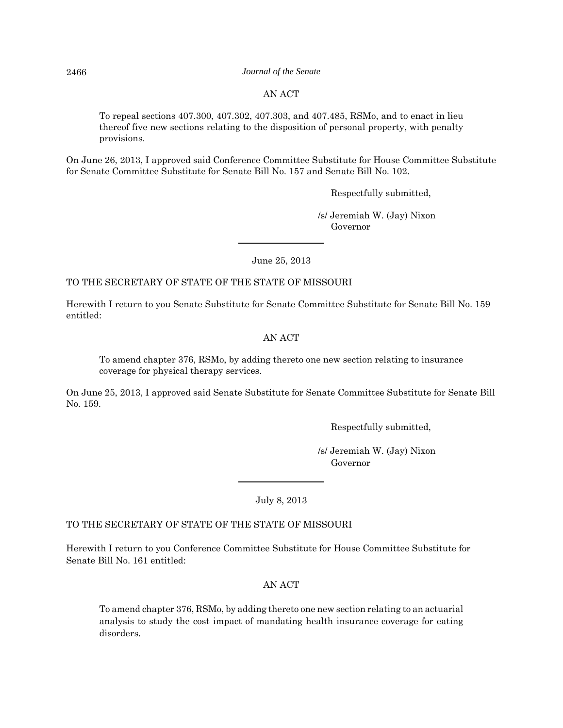#### 2466 *Journal of the Senate*

# AN ACT

To repeal sections 407.300, 407.302, 407.303, and 407.485, RSMo, and to enact in lieu thereof five new sections relating to the disposition of personal property, with penalty provisions.

On June 26, 2013, I approved said Conference Committee Substitute for House Committee Substitute for Senate Committee Substitute for Senate Bill No. 157 and Senate Bill No. 102.

Respectfully submitted,

 /s/ Jeremiah W. (Jay) Nixon Governor

June 25, 2013

TO THE SECRETARY OF STATE OF THE STATE OF MISSOURI

Herewith I return to you Senate Substitute for Senate Committee Substitute for Senate Bill No. 159 entitled:

AN ACT

To amend chapter 376, RSMo, by adding thereto one new section relating to insurance coverage for physical therapy services.

On June 25, 2013, I approved said Senate Substitute for Senate Committee Substitute for Senate Bill No. 159.

Respectfully submitted,

 /s/ Jeremiah W. (Jay) Nixon Governor

July 8, 2013

# TO THE SECRETARY OF STATE OF THE STATE OF MISSOURI

Herewith I return to you Conference Committee Substitute for House Committee Substitute for Senate Bill No. 161 entitled:

#### AN ACT

To amend chapter 376, RSMo, by adding thereto one new section relating to an actuarial analysis to study the cost impact of mandating health insurance coverage for eating disorders.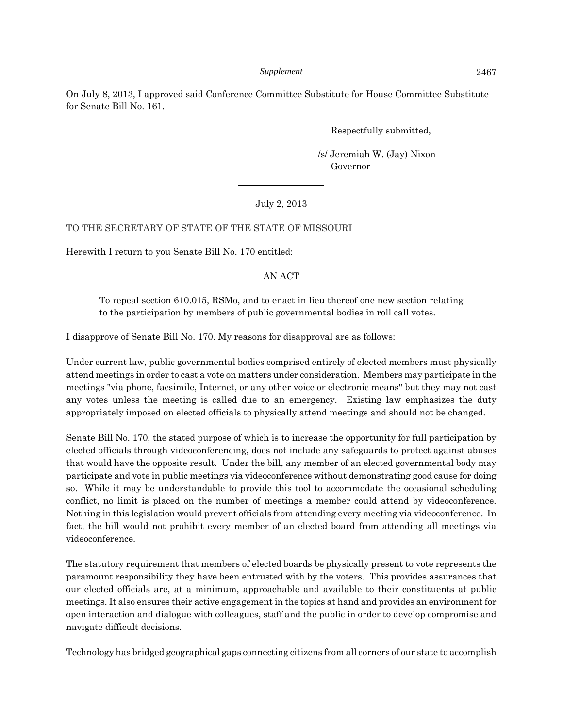On July 8, 2013, I approved said Conference Committee Substitute for House Committee Substitute for Senate Bill No. 161.

Respectfully submitted,

 /s/ Jeremiah W. (Jay) Nixon Governor

# July 2, 2013

# TO THE SECRETARY OF STATE OF THE STATE OF MISSOURI

Herewith I return to you Senate Bill No. 170 entitled:

# AN ACT

To repeal section 610.015, RSMo, and to enact in lieu thereof one new section relating to the participation by members of public governmental bodies in roll call votes.

I disapprove of Senate Bill No. 170. My reasons for disapproval are as follows:

Under current law, public governmental bodies comprised entirely of elected members must physically attend meetings in order to cast a vote on matters under consideration. Members may participate in the meetings "via phone, facsimile, Internet, or any other voice or electronic means" but they may not cast any votes unless the meeting is called due to an emergency. Existing law emphasizes the duty appropriately imposed on elected officials to physically attend meetings and should not be changed.

Senate Bill No. 170, the stated purpose of which is to increase the opportunity for full participation by elected officials through videoconferencing, does not include any safeguards to protect against abuses that would have the opposite result. Under the bill, any member of an elected governmental body may participate and vote in public meetings via videoconference without demonstrating good cause for doing so. While it may be understandable to provide this tool to accommodate the occasional scheduling conflict, no limit is placed on the number of meetings a member could attend by videoconference. Nothing in this legislation would prevent officials from attending every meeting via videoconference. In fact, the bill would not prohibit every member of an elected board from attending all meetings via videoconference.

The statutory requirement that members of elected boards be physically present to vote represents the paramount responsibility they have been entrusted with by the voters. This provides assurances that our elected officials are, at a minimum, approachable and available to their constituents at public meetings. It also ensures their active engagement in the topics at hand and provides an environment for open interaction and dialogue with colleagues, staff and the public in order to develop compromise and navigate difficult decisions.

Technology has bridged geographical gaps connecting citizens from all corners of our state to accomplish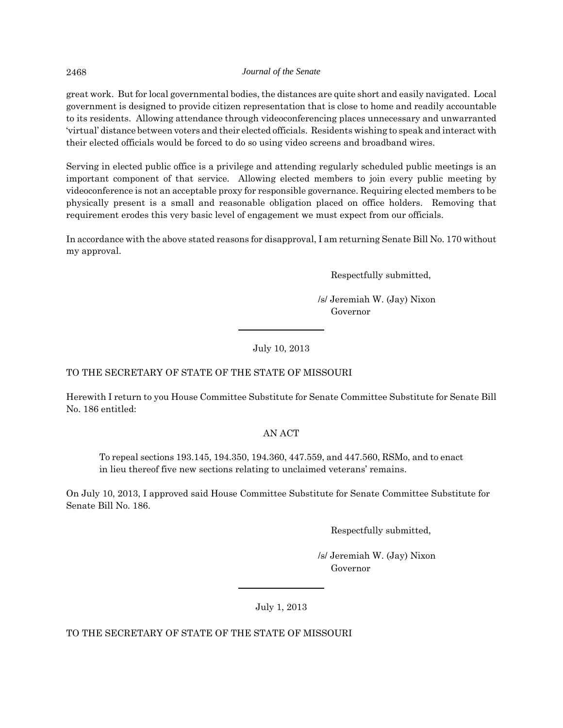great work. But for local governmental bodies, the distances are quite short and easily navigated. Local government is designed to provide citizen representation that is close to home and readily accountable to its residents. Allowing attendance through videoconferencing places unnecessary and unwarranted 'virtual' distance between voters and their elected officials. Residents wishing to speak and interact with their elected officials would be forced to do so using video screens and broadband wires.

Serving in elected public office is a privilege and attending regularly scheduled public meetings is an important component of that service. Allowing elected members to join every public meeting by videoconference is not an acceptable proxy for responsible governance. Requiring elected members to be physically present is a small and reasonable obligation placed on office holders. Removing that requirement erodes this very basic level of engagement we must expect from our officials.

In accordance with the above stated reasons for disapproval, I am returning Senate Bill No. 170 without my approval.

Respectfully submitted,

 /s/ Jeremiah W. (Jay) Nixon Governor

July 10, 2013

# TO THE SECRETARY OF STATE OF THE STATE OF MISSOURI

Herewith I return to you House Committee Substitute for Senate Committee Substitute for Senate Bill No. 186 entitled:

# AN ACT

To repeal sections 193.145, 194.350, 194.360, 447.559, and 447.560, RSMo, and to enact in lieu thereof five new sections relating to unclaimed veterans' remains.

On July 10, 2013, I approved said House Committee Substitute for Senate Committee Substitute for Senate Bill No. 186.

Respectfully submitted,

 /s/ Jeremiah W. (Jay) Nixon Governor

July 1, 2013

TO THE SECRETARY OF STATE OF THE STATE OF MISSOURI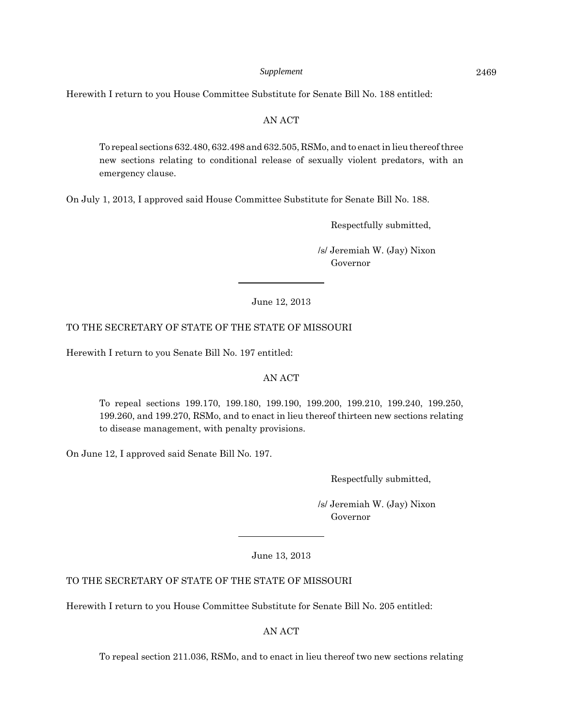Herewith I return to you House Committee Substitute for Senate Bill No. 188 entitled:

#### AN ACT

To repeal sections 632.480, 632.498 and 632.505, RSMo, and to enact in lieu thereof three new sections relating to conditional release of sexually violent predators, with an emergency clause.

On July 1, 2013, I approved said House Committee Substitute for Senate Bill No. 188.

Respectfully submitted,

 /s/ Jeremiah W. (Jay) Nixon Governor

June 12, 2013

#### TO THE SECRETARY OF STATE OF THE STATE OF MISSOURI

Herewith I return to you Senate Bill No. 197 entitled:

#### AN ACT

To repeal sections 199.170, 199.180, 199.190, 199.200, 199.210, 199.240, 199.250, 199.260, and 199.270, RSMo, and to enact in lieu thereof thirteen new sections relating to disease management, with penalty provisions.

On June 12, I approved said Senate Bill No. 197.

Respectfully submitted,

 /s/ Jeremiah W. (Jay) Nixon Governor

June 13, 2013

#### TO THE SECRETARY OF STATE OF THE STATE OF MISSOURI

Herewith I return to you House Committee Substitute for Senate Bill No. 205 entitled:

AN ACT

To repeal section 211.036, RSMo, and to enact in lieu thereof two new sections relating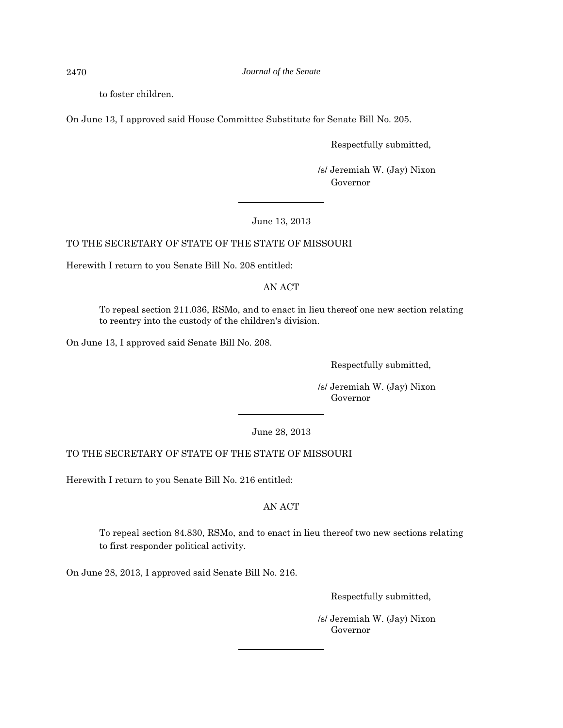to foster children.

On June 13, I approved said House Committee Substitute for Senate Bill No. 205.

Respectfully submitted,

 /s/ Jeremiah W. (Jay) Nixon Governor

June 13, 2013

# TO THE SECRETARY OF STATE OF THE STATE OF MISSOURI

Herewith I return to you Senate Bill No. 208 entitled:

AN ACT

To repeal section 211.036, RSMo, and to enact in lieu thereof one new section relating to reentry into the custody of the children's division.

On June 13, I approved said Senate Bill No. 208.

Respectfully submitted,

 /s/ Jeremiah W. (Jay) Nixon Governor

June 28, 2013

# TO THE SECRETARY OF STATE OF THE STATE OF MISSOURI

Herewith I return to you Senate Bill No. 216 entitled:

# AN ACT

To repeal section 84.830, RSMo, and to enact in lieu thereof two new sections relating to first responder political activity.

On June 28, 2013, I approved said Senate Bill No. 216.

Respectfully submitted,

 /s/ Jeremiah W. (Jay) Nixon Governor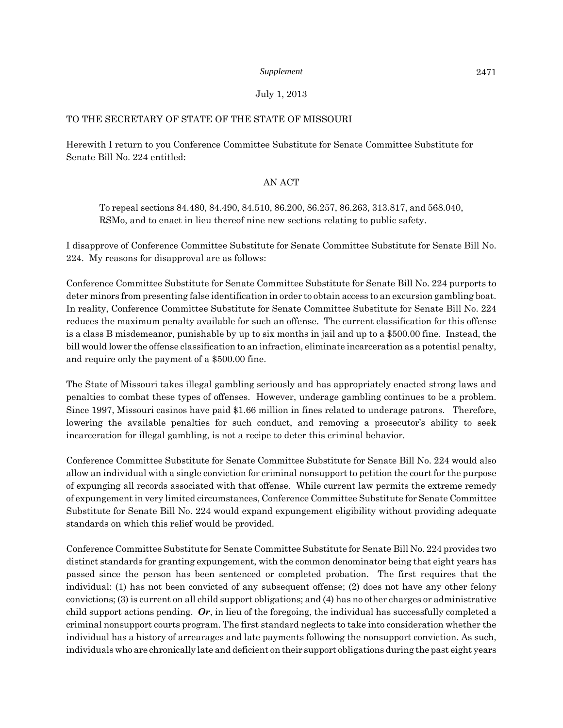# July 1, 2013

# TO THE SECRETARY OF STATE OF THE STATE OF MISSOURI

Herewith I return to you Conference Committee Substitute for Senate Committee Substitute for Senate Bill No. 224 entitled:

# AN ACT

To repeal sections 84.480, 84.490, 84.510, 86.200, 86.257, 86.263, 313.817, and 568.040, RSMo, and to enact in lieu thereof nine new sections relating to public safety.

I disapprove of Conference Committee Substitute for Senate Committee Substitute for Senate Bill No. 224. My reasons for disapproval are as follows:

Conference Committee Substitute for Senate Committee Substitute for Senate Bill No. 224 purports to deter minors from presenting false identification in order to obtain access to an excursion gambling boat. In reality, Conference Committee Substitute for Senate Committee Substitute for Senate Bill No. 224 reduces the maximum penalty available for such an offense. The current classification for this offense is a class B misdemeanor, punishable by up to six months in jail and up to a \$500.00 fine. Instead, the bill would lower the offense classification to an infraction, eliminate incarceration as a potential penalty, and require only the payment of a \$500.00 fine.

The State of Missouri takes illegal gambling seriously and has appropriately enacted strong laws and penalties to combat these types of offenses. However, underage gambling continues to be a problem. Since 1997, Missouri casinos have paid \$1.66 million in fines related to underage patrons. Therefore, lowering the available penalties for such conduct, and removing a prosecutor's ability to seek incarceration for illegal gambling, is not a recipe to deter this criminal behavior.

Conference Committee Substitute for Senate Committee Substitute for Senate Bill No. 224 would also allow an individual with a single conviction for criminal nonsupport to petition the court for the purpose of expunging all records associated with that offense. While current law permits the extreme remedy of expungement in very limited circumstances, Conference Committee Substitute for Senate Committee Substitute for Senate Bill No. 224 would expand expungement eligibility without providing adequate standards on which this relief would be provided.

Conference Committee Substitute for Senate Committee Substitute for Senate Bill No. 224 provides two distinct standards for granting expungement, with the common denominator being that eight years has passed since the person has been sentenced or completed probation. The first requires that the individual: (1) has not been convicted of any subsequent offense; (2) does not have any other felony convictions; (3) is current on all child support obligations; and (4) has no other charges or administrative child support actions pending. *Or*, in lieu of the foregoing, the individual has successfully completed a criminal nonsupport courts program. The first standard neglects to take into consideration whether the individual has a history of arrearages and late payments following the nonsupport conviction. As such, individuals who are chronically late and deficient on their support obligations during the past eight years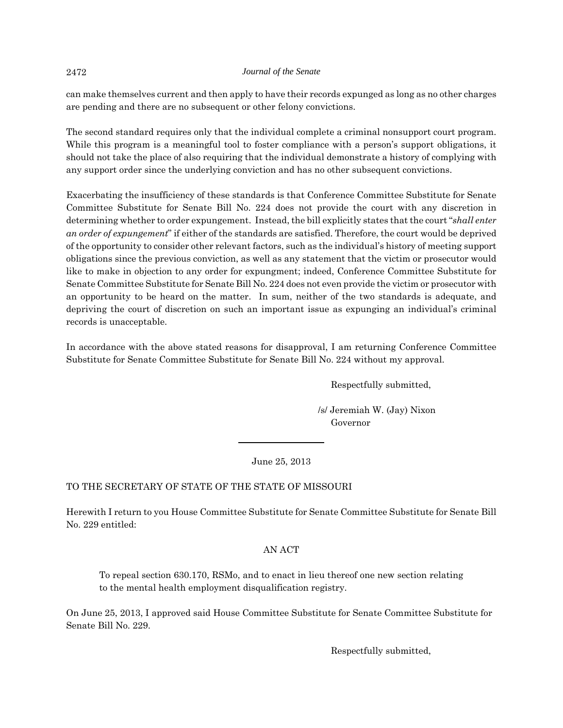can make themselves current and then apply to have their records expunged as long as no other charges are pending and there are no subsequent or other felony convictions.

The second standard requires only that the individual complete a criminal nonsupport court program. While this program is a meaningful tool to foster compliance with a person's support obligations, it should not take the place of also requiring that the individual demonstrate a history of complying with any support order since the underlying conviction and has no other subsequent convictions.

Exacerbating the insufficiency of these standards is that Conference Committee Substitute for Senate Committee Substitute for Senate Bill No. 224 does not provide the court with any discretion in determining whether to order expungement. Instead, the bill explicitly states that the court "*shall enter an order of expungement*" if either of the standards are satisfied. Therefore, the court would be deprived of the opportunity to consider other relevant factors, such as the individual's history of meeting support obligations since the previous conviction, as well as any statement that the victim or prosecutor would like to make in objection to any order for expungment; indeed, Conference Committee Substitute for Senate Committee Substitute for Senate Bill No. 224 does not even provide the victim or prosecutor with an opportunity to be heard on the matter. In sum, neither of the two standards is adequate, and depriving the court of discretion on such an important issue as expunging an individual's criminal records is unacceptable.

In accordance with the above stated reasons for disapproval, I am returning Conference Committee Substitute for Senate Committee Substitute for Senate Bill No. 224 without my approval.

Respectfully submitted,

 /s/ Jeremiah W. (Jay) Nixon Governor

June 25, 2013

# TO THE SECRETARY OF STATE OF THE STATE OF MISSOURI

Herewith I return to you House Committee Substitute for Senate Committee Substitute for Senate Bill No. 229 entitled:

# AN ACT

To repeal section 630.170, RSMo, and to enact in lieu thereof one new section relating to the mental health employment disqualification registry.

On June 25, 2013, I approved said House Committee Substitute for Senate Committee Substitute for Senate Bill No. 229.

Respectfully submitted,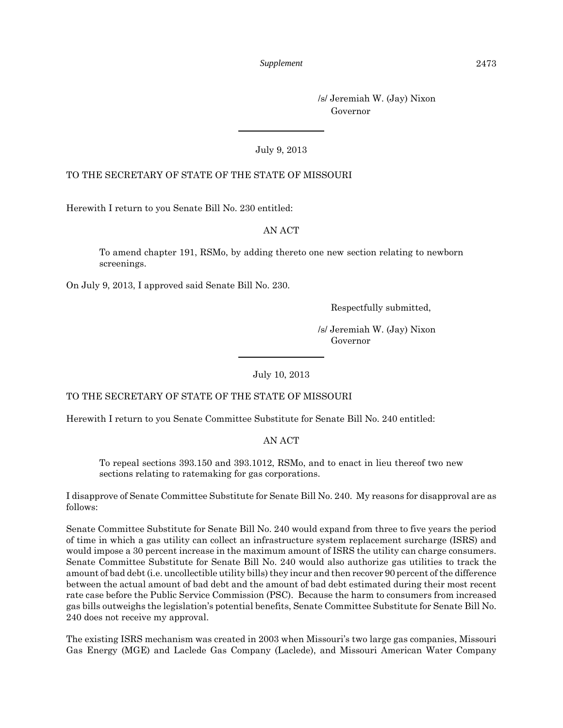/s/ Jeremiah W. (Jay) Nixon Governor

July 9, 2013

# TO THE SECRETARY OF STATE OF THE STATE OF MISSOURI

Herewith I return to you Senate Bill No. 230 entitled:

# AN ACT

To amend chapter 191, RSMo, by adding thereto one new section relating to newborn screenings.

On July 9, 2013, I approved said Senate Bill No. 230.

Respectfully submitted,

 /s/ Jeremiah W. (Jay) Nixon Governor

July 10, 2013

# TO THE SECRETARY OF STATE OF THE STATE OF MISSOURI

Herewith I return to you Senate Committee Substitute for Senate Bill No. 240 entitled:

AN ACT

To repeal sections 393.150 and 393.1012, RSMo, and to enact in lieu thereof two new sections relating to ratemaking for gas corporations.

I disapprove of Senate Committee Substitute for Senate Bill No. 240. My reasons for disapproval are as follows:

Senate Committee Substitute for Senate Bill No. 240 would expand from three to five years the period of time in which a gas utility can collect an infrastructure system replacement surcharge (ISRS) and would impose a 30 percent increase in the maximum amount of ISRS the utility can charge consumers. Senate Committee Substitute for Senate Bill No. 240 would also authorize gas utilities to track the amount of bad debt (i.e. uncollectible utility bills) they incur and then recover 90 percent of the difference between the actual amount of bad debt and the amount of bad debt estimated during their most recent rate case before the Public Service Commission (PSC). Because the harm to consumers from increased gas bills outweighs the legislation's potential benefits, Senate Committee Substitute for Senate Bill No. 240 does not receive my approval.

The existing ISRS mechanism was created in 2003 when Missouri's two large gas companies, Missouri Gas Energy (MGE) and Laclede Gas Company (Laclede), and Missouri American Water Company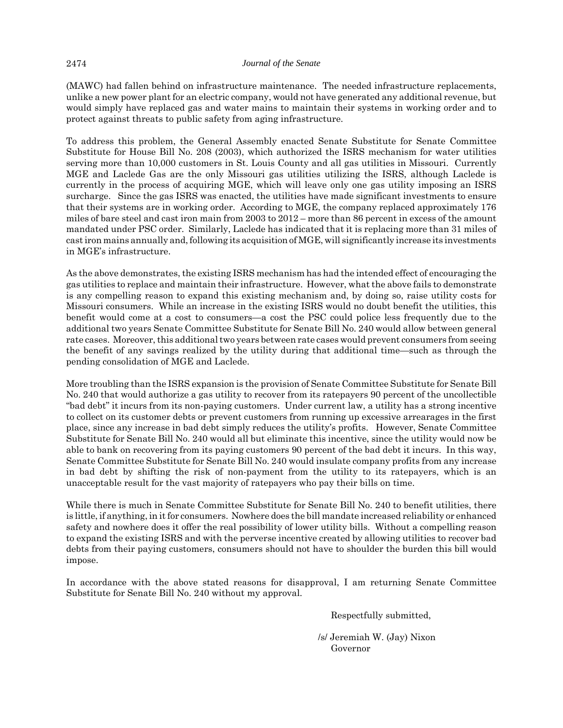(MAWC) had fallen behind on infrastructure maintenance. The needed infrastructure replacements, unlike a new power plant for an electric company, would not have generated any additional revenue, but would simply have replaced gas and water mains to maintain their systems in working order and to protect against threats to public safety from aging infrastructure.

To address this problem, the General Assembly enacted Senate Substitute for Senate Committee Substitute for House Bill No. 208 (2003), which authorized the ISRS mechanism for water utilities serving more than 10,000 customers in St. Louis County and all gas utilities in Missouri. Currently MGE and Laclede Gas are the only Missouri gas utilities utilizing the ISRS, although Laclede is currently in the process of acquiring MGE, which will leave only one gas utility imposing an ISRS surcharge. Since the gas ISRS was enacted, the utilities have made significant investments to ensure that their systems are in working order. According to MGE, the company replaced approximately 176 miles of bare steel and cast iron main from 2003 to 2012 – more than 86 percent in excess of the amount mandated under PSC order. Similarly, Laclede has indicated that it is replacing more than 31 miles of cast iron mains annually and, following its acquisition of MGE, will significantly increase its investments in MGE's infrastructure.

As the above demonstrates, the existing ISRS mechanism has had the intended effect of encouraging the gas utilities to replace and maintain their infrastructure. However, what the above fails to demonstrate is any compelling reason to expand this existing mechanism and, by doing so, raise utility costs for Missouri consumers. While an increase in the existing ISRS would no doubt benefit the utilities, this benefit would come at a cost to consumers—a cost the PSC could police less frequently due to the additional two years Senate Committee Substitute for Senate Bill No. 240 would allow between general rate cases. Moreover, this additional two years between rate cases would prevent consumers from seeing the benefit of any savings realized by the utility during that additional time—such as through the pending consolidation of MGE and Laclede.

More troubling than the ISRS expansion is the provision of Senate Committee Substitute for Senate Bill No. 240 that would authorize a gas utility to recover from its ratepayers 90 percent of the uncollectible "bad debt" it incurs from its non-paying customers. Under current law, a utility has a strong incentive to collect on its customer debts or prevent customers from running up excessive arrearages in the first place, since any increase in bad debt simply reduces the utility's profits. However, Senate Committee Substitute for Senate Bill No. 240 would all but eliminate this incentive, since the utility would now be able to bank on recovering from its paying customers 90 percent of the bad debt it incurs. In this way, Senate Committee Substitute for Senate Bill No. 240 would insulate company profits from any increase in bad debt by shifting the risk of non-payment from the utility to its ratepayers, which is an unacceptable result for the vast majority of ratepayers who pay their bills on time.

While there is much in Senate Committee Substitute for Senate Bill No. 240 to benefit utilities, there is little, if anything, in it for consumers. Nowhere does the bill mandate increased reliability or enhanced safety and nowhere does it offer the real possibility of lower utility bills. Without a compelling reason to expand the existing ISRS and with the perverse incentive created by allowing utilities to recover bad debts from their paying customers, consumers should not have to shoulder the burden this bill would impose.

In accordance with the above stated reasons for disapproval, I am returning Senate Committee Substitute for Senate Bill No. 240 without my approval.

Respectfully submitted,

 /s/ Jeremiah W. (Jay) Nixon Governor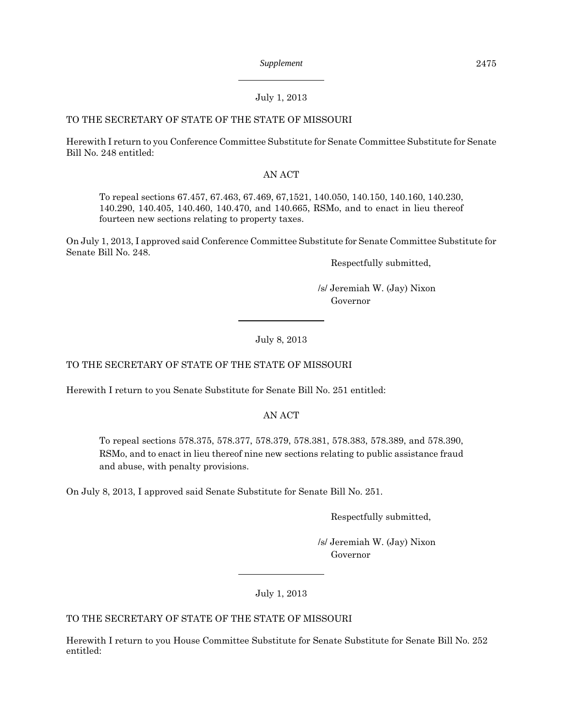# July 1, 2013

# TO THE SECRETARY OF STATE OF THE STATE OF MISSOURI

Herewith I return to you Conference Committee Substitute for Senate Committee Substitute for Senate Bill No. 248 entitled:

# AN ACT

To repeal sections 67.457, 67.463, 67.469, 67,1521, 140.050, 140.150, 140.160, 140.230, 140.290, 140.405, 140.460, 140.470, and 140.665, RSMo, and to enact in lieu thereof fourteen new sections relating to property taxes.

On July 1, 2013, I approved said Conference Committee Substitute for Senate Committee Substitute for Senate Bill No. 248.

Respectfully submitted,

 /s/ Jeremiah W. (Jay) Nixon Governor

July 8, 2013

TO THE SECRETARY OF STATE OF THE STATE OF MISSOURI

Herewith I return to you Senate Substitute for Senate Bill No. 251 entitled:

AN ACT

To repeal sections 578.375, 578.377, 578.379, 578.381, 578.383, 578.389, and 578.390, RSMo, and to enact in lieu thereof nine new sections relating to public assistance fraud and abuse, with penalty provisions.

On July 8, 2013, I approved said Senate Substitute for Senate Bill No. 251.

Respectfully submitted,

 /s/ Jeremiah W. (Jay) Nixon Governor

July 1, 2013

TO THE SECRETARY OF STATE OF THE STATE OF MISSOURI

Herewith I return to you House Committee Substitute for Senate Substitute for Senate Bill No. 252 entitled: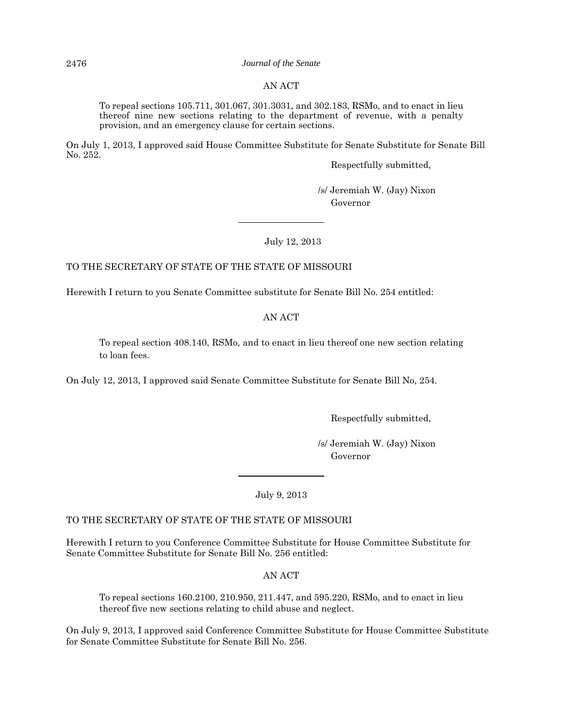2476 *Journal of the Senate*

## AN ACT

To repeal sections 105.711, 301.067, 301.3031, and 302.183, RSMo, and to enact in lieu thereof nine new sections relating to the department of revenue, with a penalty provision, and an emergency clause for certain sections.

On July 1, 2013, I approved said House Committee Substitute for Senate Substitute for Senate Bill No. 252.

Respectfully submitted,

 /s/ Jeremiah W. (Jay) Nixon Governor

July 12, 2013

#### TO THE SECRETARY OF STATE OF THE STATE OF MISSOURI

Herewith I return to you Senate Committee substitute for Senate Bill No. 254 entitled:

#### AN ACT

To repeal section 408.140, RSMo, and to enact in lieu thereof one new section relating to loan fees.

On July 12, 2013, I approved said Senate Committee Substitute for Senate Bill No, 254.

Respectfully submitted,

 /s/ Jeremiah W. (Jay) Nixon Governor

July 9, 2013

#### TO THE SECRETARY OF STATE OF THE STATE OF MISSOURI

Herewith I return to you Conference Committee Substitute for House Committee Substitute for Senate Committee Substitute for Senate Bill No. 256 entitled:

AN ACT

To repeal sections 160.2100, 210.950, 211.447, and 595.220, RSMo, and to enact in lieu thereof five new sections relating to child abuse and neglect.

On July 9, 2013, I approved said Conference Committee Substitute for House Committee Substitute for Senate Committee Substitute for Senate Bill No. 256.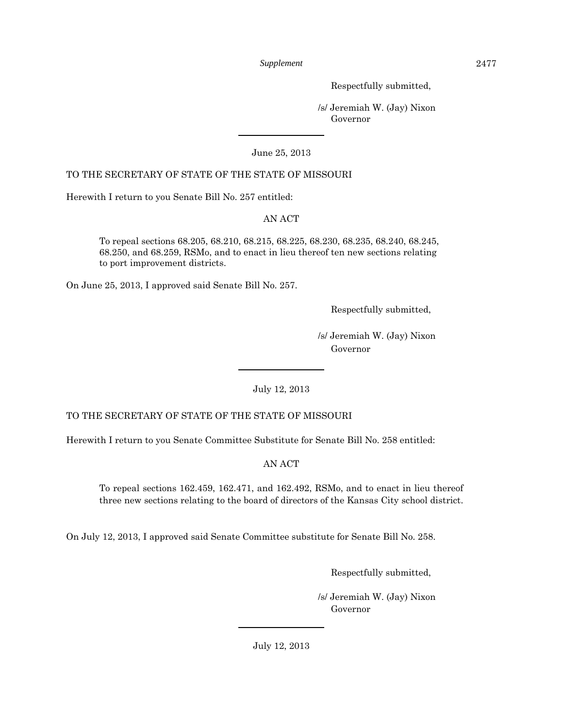Respectfully submitted,

 /s/ Jeremiah W. (Jay) Nixon Governor

# June 25, 2013

# TO THE SECRETARY OF STATE OF THE STATE OF MISSOURI

Herewith I return to you Senate Bill No. 257 entitled:

# AN ACT

To repeal sections 68.205, 68.210, 68.215, 68.225, 68.230, 68.235, 68.240, 68.245, 68.250, and 68.259, RSMo, and to enact in lieu thereof ten new sections relating to port improvement districts.

On June 25, 2013, I approved said Senate Bill No. 257.

Respectfully submitted,

 /s/ Jeremiah W. (Jay) Nixon Governor

July 12, 2013

# TO THE SECRETARY OF STATE OF THE STATE OF MISSOURI

Herewith I return to you Senate Committee Substitute for Senate Bill No. 258 entitled:

AN ACT

To repeal sections 162.459, 162.471, and 162.492, RSMo, and to enact in lieu thereof three new sections relating to the board of directors of the Kansas City school district.

On July 12, 2013, I approved said Senate Committee substitute for Senate Bill No. 258.

Respectfully submitted,

 /s/ Jeremiah W. (Jay) Nixon Governor

July 12, 2013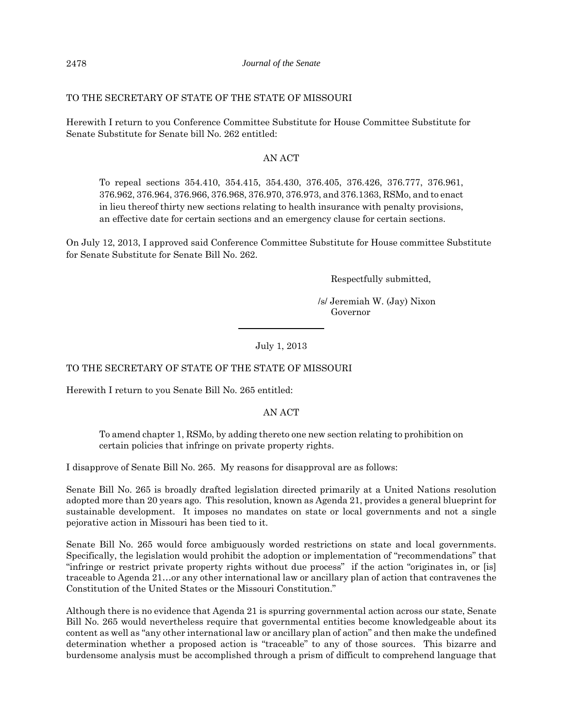# TO THE SECRETARY OF STATE OF THE STATE OF MISSOURI

Herewith I return to you Conference Committee Substitute for House Committee Substitute for Senate Substitute for Senate bill No. 262 entitled:

# AN ACT

To repeal sections 354.410, 354.415, 354.430, 376.405, 376.426, 376.777, 376.961, 376.962, 376.964, 376.966, 376.968, 376.970, 376.973, and 376.1363, RSMo, and to enact in lieu thereof thirty new sections relating to health insurance with penalty provisions, an effective date for certain sections and an emergency clause for certain sections.

On July 12, 2013, I approved said Conference Committee Substitute for House committee Substitute for Senate Substitute for Senate Bill No. 262.

Respectfully submitted,

 /s/ Jeremiah W. (Jay) Nixon Governor

July 1, 2013

TO THE SECRETARY OF STATE OF THE STATE OF MISSOURI

Herewith I return to you Senate Bill No. 265 entitled:

AN ACT

To amend chapter 1, RSMo, by adding thereto one new section relating to prohibition on certain policies that infringe on private property rights.

I disapprove of Senate Bill No. 265. My reasons for disapproval are as follows:

Senate Bill No. 265 is broadly drafted legislation directed primarily at a United Nations resolution adopted more than 20 years ago. This resolution, known as Agenda 21, provides a general blueprint for sustainable development. It imposes no mandates on state or local governments and not a single pejorative action in Missouri has been tied to it.

Senate Bill No. 265 would force ambiguously worded restrictions on state and local governments. Specifically, the legislation would prohibit the adoption or implementation of "recommendations" that "infringe or restrict private property rights without due process" if the action "originates in, or [is] traceable to Agenda 21…or any other international law or ancillary plan of action that contravenes the Constitution of the United States or the Missouri Constitution."

Although there is no evidence that Agenda 21 is spurring governmental action across our state, Senate Bill No. 265 would nevertheless require that governmental entities become knowledgeable about its content as well as "any other international law or ancillary plan of action" and then make the undefined determination whether a proposed action is "traceable" to any of those sources. This bizarre and burdensome analysis must be accomplished through a prism of difficult to comprehend language that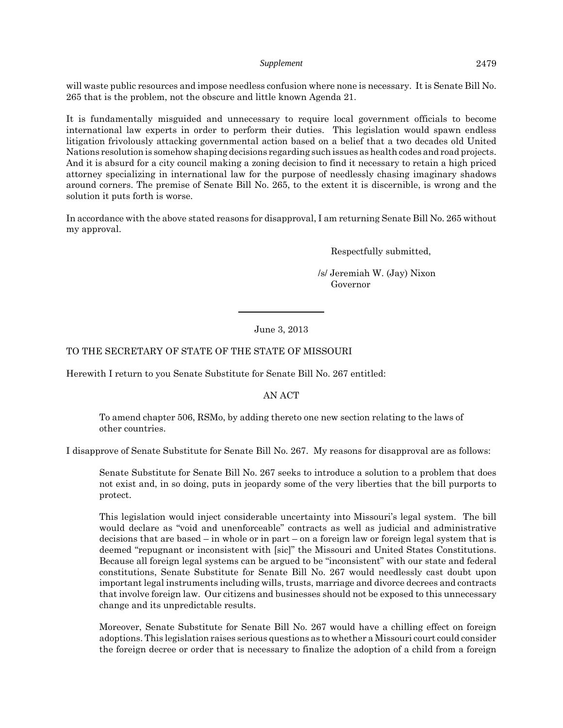will waste public resources and impose needless confusion where none is necessary. It is Senate Bill No. 265 that is the problem, not the obscure and little known Agenda 21.

It is fundamentally misguided and unnecessary to require local government officials to become international law experts in order to perform their duties. This legislation would spawn endless litigation frivolously attacking governmental action based on a belief that a two decades old United Nations resolution is somehow shaping decisions regarding such issues as health codes and road projects. And it is absurd for a city council making a zoning decision to find it necessary to retain a high priced attorney specializing in international law for the purpose of needlessly chasing imaginary shadows around corners. The premise of Senate Bill No. 265, to the extent it is discernible, is wrong and the solution it puts forth is worse.

In accordance with the above stated reasons for disapproval, I am returning Senate Bill No. 265 without my approval.

Respectfully submitted,

 /s/ Jeremiah W. (Jay) Nixon Governor

#### June 3, 2013

# TO THE SECRETARY OF STATE OF THE STATE OF MISSOURI

Herewith I return to you Senate Substitute for Senate Bill No. 267 entitled:

#### AN ACT

To amend chapter 506, RSMo, by adding thereto one new section relating to the laws of other countries.

I disapprove of Senate Substitute for Senate Bill No. 267. My reasons for disapproval are as follows:

Senate Substitute for Senate Bill No. 267 seeks to introduce a solution to a problem that does not exist and, in so doing, puts in jeopardy some of the very liberties that the bill purports to protect.

This legislation would inject considerable uncertainty into Missouri's legal system. The bill would declare as "void and unenforceable" contracts as well as judicial and administrative decisions that are based – in whole or in part – on a foreign law or foreign legal system that is deemed "repugnant or inconsistent with [sic]" the Missouri and United States Constitutions. Because all foreign legal systems can be argued to be "inconsistent" with our state and federal constitutions, Senate Substitute for Senate Bill No. 267 would needlessly cast doubt upon important legal instruments including wills, trusts, marriage and divorce decrees and contracts that involve foreign law. Our citizens and businesses should not be exposed to this unnecessary change and its unpredictable results.

Moreover, Senate Substitute for Senate Bill No. 267 would have a chilling effect on foreign adoptions. This legislation raises serious questions as to whether a Missouri court could consider the foreign decree or order that is necessary to finalize the adoption of a child from a foreign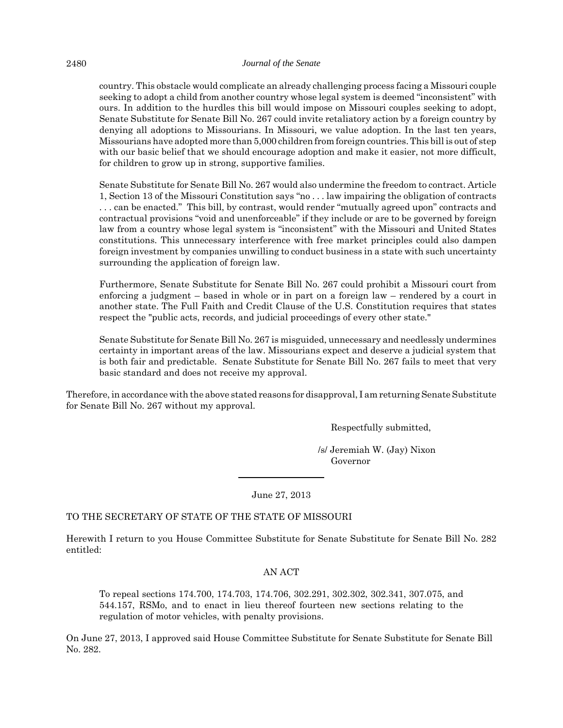#### 2480 *Journal of the Senate*

country. This obstacle would complicate an already challenging process facing a Missouri couple seeking to adopt a child from another country whose legal system is deemed "inconsistent" with ours. In addition to the hurdles this bill would impose on Missouri couples seeking to adopt, Senate Substitute for Senate Bill No. 267 could invite retaliatory action by a foreign country by denying all adoptions to Missourians. In Missouri, we value adoption. In the last ten years, Missourians have adopted more than 5,000 children from foreign countries. This bill is out of step with our basic belief that we should encourage adoption and make it easier, not more difficult, for children to grow up in strong, supportive families.

Senate Substitute for Senate Bill No. 267 would also undermine the freedom to contract. Article 1, Section 13 of the Missouri Constitution says "no . . . law impairing the obligation of contracts . . . can be enacted." This bill, by contrast, would render "mutually agreed upon" contracts and contractual provisions "void and unenforceable" if they include or are to be governed by foreign law from a country whose legal system is "inconsistent" with the Missouri and United States constitutions. This unnecessary interference with free market principles could also dampen foreign investment by companies unwilling to conduct business in a state with such uncertainty surrounding the application of foreign law.

Furthermore, Senate Substitute for Senate Bill No. 267 could prohibit a Missouri court from enforcing a judgment – based in whole or in part on a foreign law – rendered by a court in another state. The Full Faith and Credit Clause of the U.S. Constitution requires that states respect the "public acts, records, and judicial proceedings of every other state."

Senate Substitute for Senate Bill No. 267 is misguided, unnecessary and needlessly undermines certainty in important areas of the law. Missourians expect and deserve a judicial system that is both fair and predictable. Senate Substitute for Senate Bill No. 267 fails to meet that very basic standard and does not receive my approval.

Therefore, in accordance with the above stated reasons for disapproval, I am returning Senate Substitute for Senate Bill No. 267 without my approval.

Respectfully submitted,

 /s/ Jeremiah W. (Jay) Nixon Governor

June 27, 2013

# TO THE SECRETARY OF STATE OF THE STATE OF MISSOURI

Herewith I return to you House Committee Substitute for Senate Substitute for Senate Bill No. 282 entitled:

# AN ACT

To repeal sections 174.700, 174.703, 174.706, 302.291, 302.302, 302.341, 307.075, and 544.157, RSMo, and to enact in lieu thereof fourteen new sections relating to the regulation of motor vehicles, with penalty provisions.

On June 27, 2013, I approved said House Committee Substitute for Senate Substitute for Senate Bill No. 282.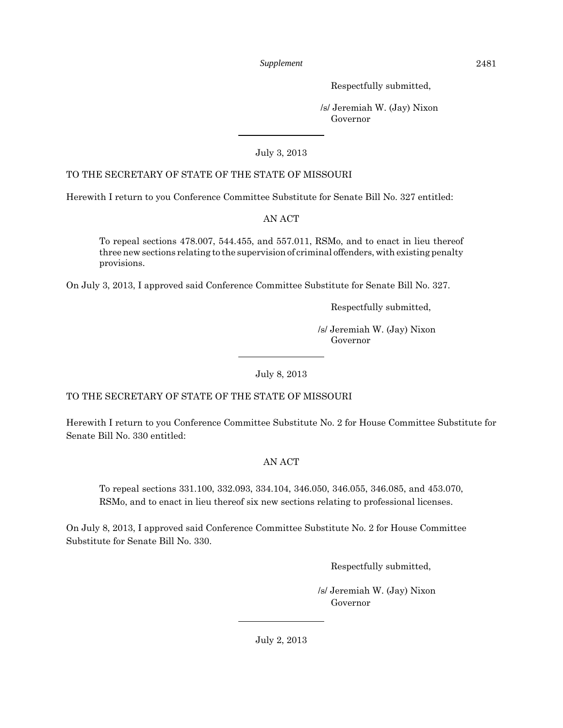Respectfully submitted,

 /s/ Jeremiah W. (Jay) Nixon Governor

# July 3, 2013

# TO THE SECRETARY OF STATE OF THE STATE OF MISSOURI

Herewith I return to you Conference Committee Substitute for Senate Bill No. 327 entitled:

# AN ACT

To repeal sections 478.007, 544.455, and 557.011, RSMo, and to enact in lieu thereof three new sections relating to the supervision of criminal offenders, with existing penalty provisions.

On July 3, 2013, I approved said Conference Committee Substitute for Senate Bill No. 327.

Respectfully submitted,

 /s/ Jeremiah W. (Jay) Nixon Governor

July 8, 2013

# TO THE SECRETARY OF STATE OF THE STATE OF MISSOURI

Herewith I return to you Conference Committee Substitute No. 2 for House Committee Substitute for Senate Bill No. 330 entitled:

# AN ACT

To repeal sections 331.100, 332.093, 334.104, 346.050, 346.055, 346.085, and 453.070, RSMo, and to enact in lieu thereof six new sections relating to professional licenses.

On July 8, 2013, I approved said Conference Committee Substitute No. 2 for House Committee Substitute for Senate Bill No. 330.

Respectfully submitted,

 /s/ Jeremiah W. (Jay) Nixon Governor

July 2, 2013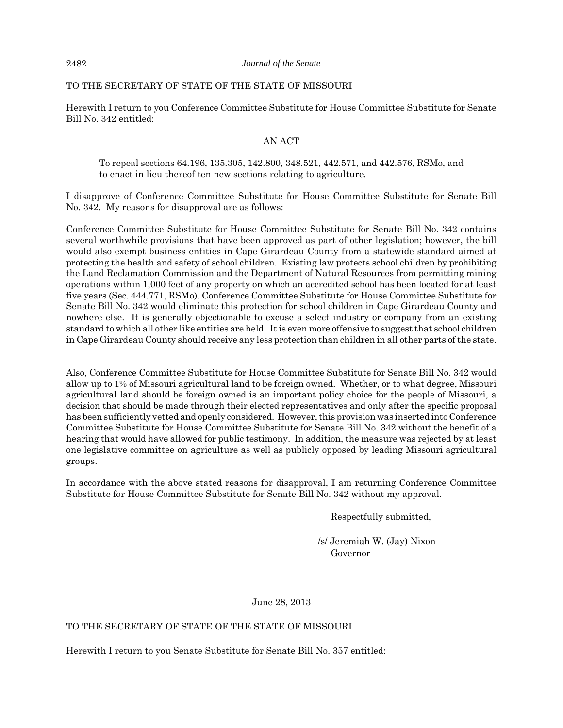# TO THE SECRETARY OF STATE OF THE STATE OF MISSOURI

Herewith I return to you Conference Committee Substitute for House Committee Substitute for Senate Bill No. 342 entitled:

# AN ACT

To repeal sections 64.196, 135.305, 142.800, 348.521, 442.571, and 442.576, RSMo, and to enact in lieu thereof ten new sections relating to agriculture.

I disapprove of Conference Committee Substitute for House Committee Substitute for Senate Bill No. 342. My reasons for disapproval are as follows:

Conference Committee Substitute for House Committee Substitute for Senate Bill No. 342 contains several worthwhile provisions that have been approved as part of other legislation; however, the bill would also exempt business entities in Cape Girardeau County from a statewide standard aimed at protecting the health and safety of school children. Existing law protects school children by prohibiting the Land Reclamation Commission and the Department of Natural Resources from permitting mining operations within 1,000 feet of any property on which an accredited school has been located for at least five years (Sec. 444.771, RSMo). Conference Committee Substitute for House Committee Substitute for Senate Bill No. 342 would eliminate this protection for school children in Cape Girardeau County and nowhere else. It is generally objectionable to excuse a select industry or company from an existing standard to which all other like entities are held. It is even more offensive to suggest that school children in Cape Girardeau County should receive any less protection than children in all other parts of the state.

Also, Conference Committee Substitute for House Committee Substitute for Senate Bill No. 342 would allow up to 1% of Missouri agricultural land to be foreign owned. Whether, or to what degree, Missouri agricultural land should be foreign owned is an important policy choice for the people of Missouri, a decision that should be made through their elected representatives and only after the specific proposal has been sufficiently vetted and openly considered. However, this provision was inserted into Conference Committee Substitute for House Committee Substitute for Senate Bill No. 342 without the benefit of a hearing that would have allowed for public testimony. In addition, the measure was rejected by at least one legislative committee on agriculture as well as publicly opposed by leading Missouri agricultural groups.

In accordance with the above stated reasons for disapproval, I am returning Conference Committee Substitute for House Committee Substitute for Senate Bill No. 342 without my approval.

Respectfully submitted,

 /s/ Jeremiah W. (Jay) Nixon Governor

June 28, 2013

TO THE SECRETARY OF STATE OF THE STATE OF MISSOURI

Herewith I return to you Senate Substitute for Senate Bill No. 357 entitled: